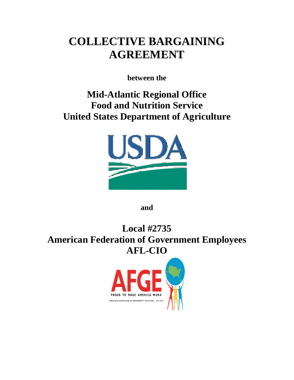# **COLLECTIVE BARGAINING AGREEMENT**

**between the**

**Mid-Atlantic Regional Office Food and Nutrition Service United States Department of Agriculture**



**and**

**Local #2735 American Federation of Government Employees AFL-CIO**

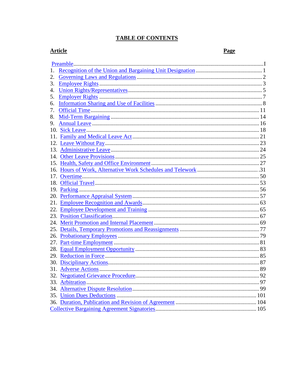# **TABLE OF CONTENTS**

# **Article**

Page

| 1.  |  |    |  |
|-----|--|----|--|
| 2.  |  |    |  |
| 3.  |  |    |  |
| 4.  |  |    |  |
| 5.  |  |    |  |
| 6.  |  |    |  |
| 7.  |  |    |  |
| 8.  |  |    |  |
| 9.  |  |    |  |
| 10. |  |    |  |
| 11. |  |    |  |
| 12. |  |    |  |
|     |  |    |  |
|     |  |    |  |
|     |  |    |  |
| 16. |  |    |  |
| 17. |  |    |  |
|     |  |    |  |
|     |  |    |  |
|     |  |    |  |
|     |  |    |  |
| 22. |  |    |  |
|     |  |    |  |
|     |  |    |  |
|     |  |    |  |
|     |  |    |  |
| 27. |  |    |  |
| 28. |  |    |  |
|     |  |    |  |
|     |  |    |  |
|     |  |    |  |
|     |  | 92 |  |
|     |  |    |  |
|     |  |    |  |
|     |  |    |  |
|     |  |    |  |
|     |  |    |  |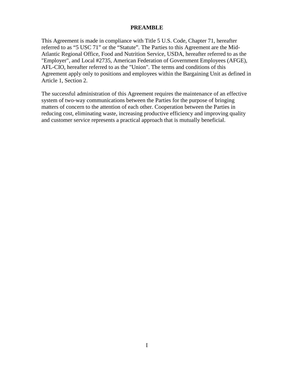## **PREAMBLE**

<span id="page-2-0"></span>This Agreement is made in compliance with Title 5 U.S. Code, Chapter 71, hereafter referred to as "5 USC 71" or the "Statute". The Parties to this Agreement are the Mid-Atlantic Regional Office, Food and Nutrition Service, USDA, hereafter referred to as the "Employer", and Local #2735, American Federation of Government Employees (AFGE), AFL-CIO, hereafter referred to as the "Union". The terms and conditions of this Agreement apply only to positions and employees within the Bargaining Unit as defined in Article 1, Section 2.

The successful administration of this Agreement requires the maintenance of an effective system of two-way communications between the Parties for the purpose of bringing matters of concern to the attention of each other. Cooperation between the Parties in reducing cost, eliminating waste, increasing productive efficiency and improving quality and customer service represents a practical approach that is mutually beneficial.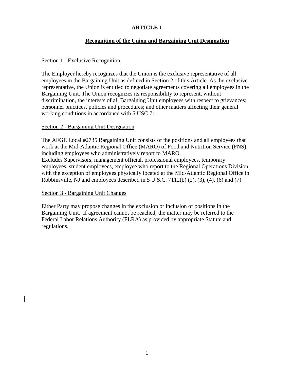# **Recognition of the Union and Bargaining Unit Designation**

## <span id="page-3-0"></span>Section 1 - Exclusive Recognition

The Employer hereby recognizes that the Union is the exclusive representative of all employees in the Bargaining Unit as defined in Section 2 of this Article. As the exclusive representative, the Union is entitled to negotiate agreements covering all employees in the Bargaining Unit. The Union recognizes its responsibility to represent, without discrimination, the interests of all Bargaining Unit employees with respect to grievances; personnel practices, policies and procedures; and other matters affecting their general working conditions in accordance with 5 USC 71.

## Section 2 - Bargaining Unit Designation

The AFGE Local #2735 Bargaining Unit consists of the positions and all employees that work at the Mid-Atlantic Regional Office (MARO) of Food and Nutrition Service (FNS), including employees who administratively report to MARO. Excludes Supervisors, management official, professional employees, temporary employees, student employees, employee who report to the Regional Operations Division with the exception of employees physically located at the Mid-Atlantic Regional Office in Robbinsville, NJ and employees described in 5 U.S.C. 7112(b) (2), (3), (4), (6) and (7).

## Section 3 - Bargaining Unit Changes

<span id="page-3-1"></span>Either Party may propose changes in the exclusion or inclusion of positions in the Bargaining Unit. If agreement cannot be reached, the matter may be referred to the Federal Labor Relations Authority (FLRA) as provided by appropriate Statute and regulations.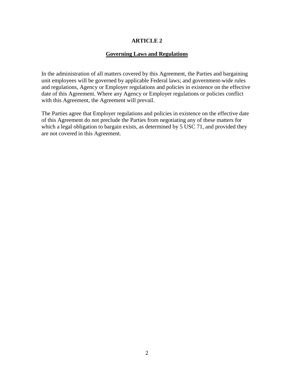# **Governing Laws and Regulations**

In the administration of all matters covered by this Agreement, the Parties and bargaining unit employees will be governed by applicable Federal laws; and government-wide rules and regulations, Agency or Employer regulations and policies in existence on the effective date of this Agreement. Where any Agency or Employer regulations or policies conflict with this Agreement, the Agreement will prevail.

The Parties agree that Employer regulations and policies in existence on the effective date of this Agreement do not preclude the Parties from negotiating any of these matters for which a legal obligation to bargain exists, as determined by 5 USC 71, and provided they are not covered in this Agreement.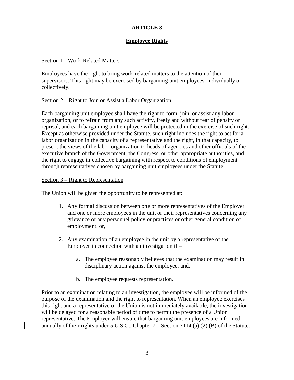# **Employee Rights**

# <span id="page-5-0"></span>Section 1 - Work-Related Matters

Employees have the right to bring work-related matters to the attention of their supervisors. This right may be exercised by bargaining unit employees, individually or collectively.

# Section 2 – Right to Join or Assist a Labor Organization

Each bargaining unit employee shall have the right to form, join, or assist any labor organization, or to refrain from any such activity, freely and without fear of penalty or reprisal, and each bargaining unit employee will be protected in the exercise of such right. Except as otherwise provided under the Statute, such right includes the right to act for a labor organization in the capacity of a representative and the right, in that capacity, to present the views of the labor organization to heads of agencies and other officials of the executive branch of the Government, the Congress, or other appropriate authorities, and the right to engage in collective bargaining with respect to conditions of employment through representatives chosen by bargaining unit employees under the Statute.

# Section 3 – Right to Representation

The Union will be given the opportunity to be represented at:

- 1. Any formal discussion between one or more representatives of the Employer and one or more employees in the unit or their representatives concerning any grievance or any personnel policy or practices or other general condition of employment; or,
- 2. Any examination of an employee in the unit by a representative of the Employer in connection with an investigation if –
	- a. The employee reasonably believes that the examination may result in disciplinary action against the employee; and,
	- b. The employee requests representation.

Prior to an examination relating to an investigation, the employee will be informed of the purpose of the examination and the right to representation. When an employee exercises this right and a representative of the Union is not immediately available, the investigation will be delayed for a reasonable period of time to permit the presence of a Union representative. The Employer will ensure that bargaining unit employees are informed annually of their rights under 5 U.S.C., Chapter 71, Section 7114 (a) (2) (B) of the Statute.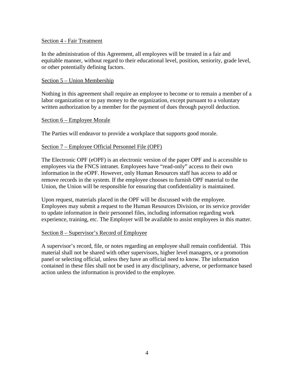## Section 4 - Fair Treatment

In the administration of this Agreement, all employees will be treated in a fair and equitable manner, without regard to their educational level, position, seniority, grade level, or other potentially defining factors.

#### Section 5 – Union Membership

Nothing in this agreement shall require an employee to become or to remain a member of a labor organization or to pay money to the organization, except pursuant to a voluntary written authorization by a member for the payment of dues through payroll deduction.

#### Section 6 – Employee Morale

The Parties will endeavor to provide a workplace that supports good morale.

#### Section 7 – Employee Official Personnel File (OPF)

The Electronic OPF (eOPF) is an electronic version of the paper OPF and is accessible to employees via the FNCS intranet. Employees have "read-only" access to their own information in the eOPF. However, only Human Resources staff has access to add or remove records in the system. If the employee chooses to furnish OPF material to the Union, the Union will be responsible for ensuring that confidentiality is maintained.

Upon request, materials placed in the OPF will be discussed with the employee. Employees may submit a request to the Human Resources Division, or its service provider to update information in their personnel files, including information regarding work experience, training, etc. The Employer will be available to assist employees in this matter.

#### Section 8 – Supervisor's Record of Employee

A supervisor's record, file, or notes regarding an employee shall remain confidential. This material shall not be shared with other supervisors, higher level managers, or a promotion panel or selecting official, unless they have an official need to know. The information contained in these files shall not be used in any disciplinary, adverse, or performance based action unless the information is provided to the employee.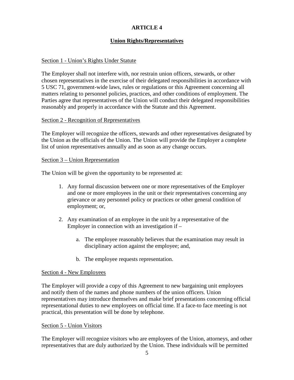# **Union Rights/Representatives**

# <span id="page-7-0"></span>Section 1 - Union's Rights Under Statute

The Employer shall not interfere with, nor restrain union officers, stewards, or other chosen representatives in the exercise of their delegated responsibilities in accordance with 5 USC 71, government-wide laws, rules or regulations or this Agreement concerning all matters relating to personnel policies, practices, and other conditions of employment. The Parties agree that representatives of the Union will conduct their delegated responsibilities reasonably and properly in accordance with the Statute and this Agreement.

## Section 2 - Recognition of Representatives

The Employer will recognize the officers, stewards and other representatives designated by the Union as the officials of the Union. The Union will provide the Employer a complete list of union representatives annually and as soon as any change occurs.

## Section 3 – Union Representation

The Union will be given the opportunity to be represented at:

- 1. Any formal discussion between one or more representatives of the Employer and one or more employees in the unit or their representatives concerning any grievance or any personnel policy or practices or other general condition of employment; or,
- 2. Any examination of an employee in the unit by a representative of the Employer in connection with an investigation if  $$ 
	- a. The employee reasonably believes that the examination may result in disciplinary action against the employee; and,
	- b. The employee requests representation.

## Section 4 - New Employees

The Employer will provide a copy of this Agreement to new bargaining unit employees and notify them of the names and phone numbers of the union officers. Union representatives may introduce themselves and make brief presentations concerning official representational duties to new employees on official time. If a face-to face meeting is not practical, this presentation will be done by telephone.

## Section 5 - Union Visitors

The Employer will recognize visitors who are employees of the Union, attorneys, and other representatives that are duly authorized by the Union. These individuals will be permitted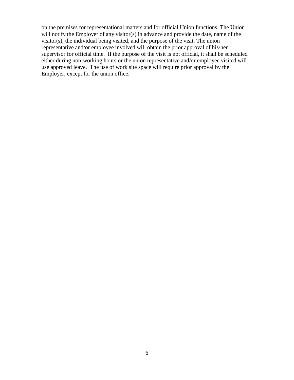on the premises for representational matters and for official Union functions. The Union will notify the Employer of any visitor(s) in advance and provide the date, name of the visitor(s), the individual being visited, and the purpose of the visit. The union representative and/or employee involved will obtain the prior approval of his/her supervisor for official time. If the purpose of the visit is not official, it shall be scheduled either during non-working hours or the union representative and/or employee visited will use approved leave. The use of work site space will require prior approval by the Employer, except for the union office.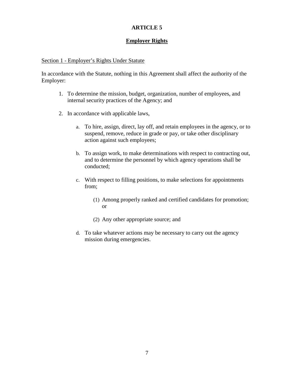# **Employer Rights**

#### <span id="page-9-0"></span>Section 1 - Employer's Rights Under Statute

In accordance with the Statute, nothing in this Agreement shall affect the authority of the Employer:

- 1. To determine the mission, budget, organization, number of employees, and internal security practices of the Agency; and
- 2. In accordance with applicable laws,
	- a. To hire, assign, direct, lay off, and retain employees in the agency, or to suspend, remove, reduce in grade or pay, or take other disciplinary action against such employees;
	- b. To assign work, to make determinations with respect to contracting out, and to determine the personnel by which agency operations shall be conducted;
	- c. With respect to filling positions, to make selections for appointments from;
		- (1) Among properly ranked and certified candidates for promotion; or
		- (2) Any other appropriate source; and
	- d. To take whatever actions may be necessary to carry out the agency mission during emergencies.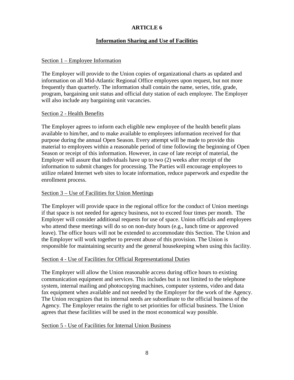# **Information Sharing and Use of Facilities**

## <span id="page-10-0"></span>Section 1 – Employee Information

The Employer will provide to the Union copies of organizational charts as updated and information on all Mid-Atlantic Regional Office employees upon request, but not more frequently than quarterly. The information shall contain the name, series, title, grade, program, bargaining unit status and official duty station of each employee. The Employer will also include any bargaining unit vacancies.

#### Section 2 - Health Benefits

The Employer agrees to inform each eligible new employee of the health benefit plans available to him/her, and to make available to employees information received for that purpose during the annual Open Season. Every attempt will be made to provide this material to employees within a reasonable period of time following the beginning of Open Season or receipt of this information. However, in case of late receipt of material, the Employer will assure that individuals have up to two (2) weeks after receipt of the information to submit changes for processing. The Parties will encourage employees to utilize related Internet web sites to locate information, reduce paperwork and expedite the enrollment process.

## Section 3 – Use of Facilities for Union Meetings

The Employer will provide space in the regional office for the conduct of Union meetings if that space is not needed for agency business, not to exceed four times per month. The Employer will consider additional requests for use of space. Union officials and employees who attend these meetings will do so on non-duty hours (e.g., lunch time or approved leave). The office hours will not be extended to accommodate this Section. The Union and the Employer will work together to prevent abuse of this provision. The Union is responsible for maintaining security and the general housekeeping when using this facility.

## Section 4 - Use of Facilities for Official Representational Duties

The Employer will allow the Union reasonable access during office hours to existing communication equipment and services. This includes but is not limited to the telephone system, internal mailing and photocopying machines, computer systems, video and data fax equipment when available and not needed by the Employer for the work of the Agency. The Union recognizes that its internal needs are subordinate to the official business of the Agency. The Employer retains the right to set priorities for official business. The Union agrees that these facilities will be used in the most economical way possible.

## Section 5 - Use of Facilities for Internal Union Business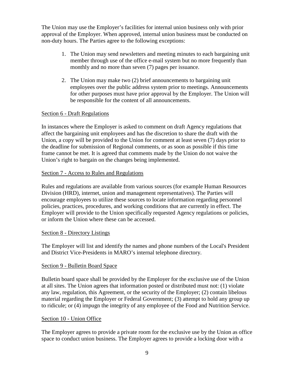The Union may use the Employer's facilities for internal union business only with prior approval of the Employer. When approved, internal union business must be conducted on non-duty hours. The Parties agree to the following exceptions:

- 1. The Union may send newsletters and meeting minutes to each bargaining unit member through use of the office e-mail system but no more frequently than monthly and no more than seven (7) pages per issuance.
- 2. The Union may make two (2) brief announcements to bargaining unit employees over the public address system prior to meetings. Announcements for other purposes must have prior approval by the Employer. The Union will be responsible for the content of all announcements.

# Section 6 - Draft Regulations

In instances where the Employer is asked to comment on draft Agency regulations that affect the bargaining unit employees and has the discretion to share the draft with the Union, a copy will be provided to the Union for comment at least seven (7) days prior to the deadline for submission of Regional comments, or as soon as possible if this time frame cannot be met. It is agreed that comments made by the Union do not waive the Union's right to bargain on the changes being implemented.

## Section 7 - Access to Rules and Regulations

Rules and regulations are available from various sources (for example Human Resources Division (HRD), internet, union and management representatives). The Parties will encourage employees to utilize these sources to locate information regarding personnel policies, practices, procedures, and working conditions that are currently in effect. The Employer will provide to the Union specifically requested Agency regulations or policies, or inform the Union where these can be accessed.

## Section 8 - Directory Listings

The Employer will list and identify the names and phone numbers of the Local's President and District Vice-Presidents in MARO's internal telephone directory.

## Section 9 - Bulletin Board Space

Bulletin board space shall be provided by the Employer for the exclusive use of the Union at all sites. The Union agrees that information posted or distributed must not: (1) violate any law, regulation, this Agreement, or the security of the Employer; (2) contain libelous material regarding the Employer or Federal Government; (3) attempt to hold any group up to ridicule; or (4) impugn the integrity of any employee of the Food and Nutrition Service.

## Section 10 - Union Office

The Employer agrees to provide a private room for the exclusive use by the Union as office space to conduct union business. The Employer agrees to provide a locking door with a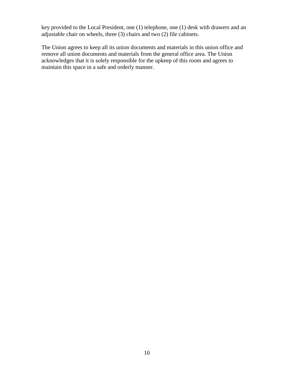key provided to the Local President, one (1) telephone, one (1) desk with drawers and an adjustable chair on wheels, three (3) chairs and two (2) file cabinets.

The Union agrees to keep all its union documents and materials in this union office and remove all union documents and materials from the general office area. The Union acknowledges that it is solely responsible for the upkeep of this room and agrees to maintain this space in a safe and orderly manner.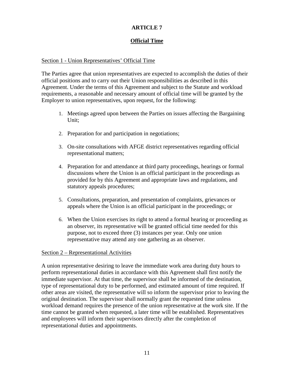# **Official Time**

# <span id="page-13-0"></span>Section 1 - Union Representatives' Official Time

The Parties agree that union representatives are expected to accomplish the duties of their official positions and to carry out their Union responsibilities as described in this Agreement. Under the terms of this Agreement and subject to the Statute and workload requirements, a reasonable and necessary amount of official time will be granted by the Employer to union representatives, upon request, for the following:

- 1. Meetings agreed upon between the Parties on issues affecting the Bargaining Unit;
- 2. Preparation for and participation in negotiations;
- 3. On-site consultations with AFGE district representatives regarding official representational matters;
- 4. Preparation for and attendance at third party proceedings, hearings or formal discussions where the Union is an official participant in the proceedings as provided for by this Agreement and appropriate laws and regulations, and statutory appeals procedures;
- 5. Consultations, preparation, and presentation of complaints, grievances or appeals where the Union is an official participant in the proceedings; or
- 6. When the Union exercises its right to attend a formal hearing or proceeding as an observer, its representative will be granted official time needed for this purpose, not to exceed three (3) instances per year. Only one union representative may attend any one gathering as an observer.

## Section 2 – Representational Activities

A union representative desiring to leave the immediate work area during duty hours to perform representational duties in accordance with this Agreement shall first notify the immediate supervisor. At that time, the supervisor shall be informed of the destination, type of representational duty to be performed, and estimated amount of time required. If other areas are visited, the representative will so inform the supervisor prior to leaving the original destination. The supervisor shall normally grant the requested time unless workload demand requires the presence of the union representative at the work site. If the time cannot be granted when requested, a later time will be established. Representatives and employees will inform their supervisors directly after the completion of representational duties and appointments.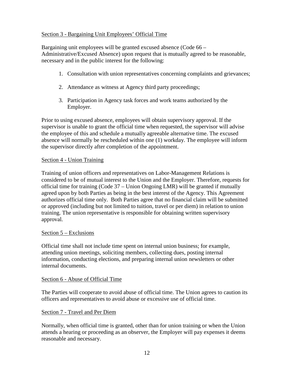# Section 3 - Bargaining Unit Employees' Official Time

Bargaining unit employees will be granted excused absence (Code 66 – Administrative/Excused Absence) upon request that is mutually agreed to be reasonable, necessary and in the public interest for the following:

- 1. Consultation with union representatives concerning complaints and grievances;
- 2. Attendance as witness at Agency third party proceedings;
- 3. Participation in Agency task forces and work teams authorized by the Employer.

Prior to using excused absence, employees will obtain supervisory approval. If the supervisor is unable to grant the official time when requested, the supervisor will advise the employee of this and schedule a mutually agreeable alternative time. The excused absence will normally be rescheduled within one (1) workday. The employee will inform the supervisor directly after completion of the appointment.

# Section 4 - Union Training

Training of union officers and representatives on Labor-Management Relations is considered to be of mutual interest to the Union and the Employer. Therefore, requests for official time for training (Code 37 – Union Ongoing LMR) will be granted if mutually agreed upon by both Parties as being in the best interest of the Agency. This Agreement authorizes official time only. Both Parties agree that no financial claim will be submitted or approved (including but not limited to tuition, travel or per diem) in relation to union training. The union representative is responsible for obtaining written supervisory approval.

## Section 5 – Exclusions

Official time shall not include time spent on internal union business; for example, attending union meetings, soliciting members, collecting dues, posting internal information, conducting elections, and preparing internal union newsletters or other internal documents.

## Section 6 - Abuse of Official Time

The Parties will cooperate to avoid abuse of official time. The Union agrees to caution its officers and representatives to avoid abuse or excessive use of official time.

# Section 7 - Travel and Per Diem

Normally, when official time is granted, other than for union training or when the Union attends a hearing or proceeding as an observer, the Employer will pay expenses it deems reasonable and necessary.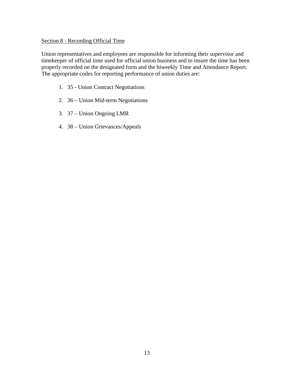# Section 8 - Recording Official Time

Union representatives and employees are responsible for informing their supervisor and timekeeper of official time used for official union business and to insure the time has been properly recorded on the designated form and the biweekly Time and Attendance Report. The appropriate codes for reporting performance of union duties are:

- 1. 35 Union Contract Negotiations
- 2. 36 Union Mid-term Negotiations
- 3. 37 Union Ongoing LMR
- 4. 38 Union Grievances/Appeals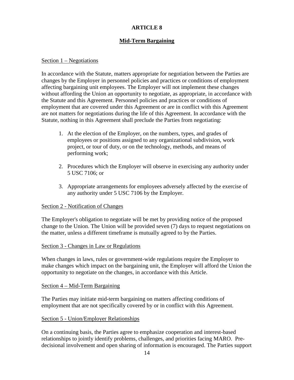# **Mid-Term Bargaining**

#### <span id="page-16-0"></span>Section 1 – Negotiations

In accordance with the Statute, matters appropriate for negotiation between the Parties are changes by the Employer in personnel policies and practices or conditions of employment affecting bargaining unit employees. The Employer will not implement these changes without affording the Union an opportunity to negotiate, as appropriate, in accordance with the Statute and this Agreement. Personnel policies and practices or conditions of employment that are covered under this Agreement or are in conflict with this Agreement are not matters for negotiations during the life of this Agreement. In accordance with the Statute, nothing in this Agreement shall preclude the Parties from negotiating:

- 1. At the election of the Employer, on the numbers, types, and grades of employees or positions assigned to any organizational subdivision, work project, or tour of duty, or on the technology, methods, and means of performing work;
- 2. Procedures which the Employer will observe in exercising any authority under 5 USC 7106; or
- 3. Appropriate arrangements for employees adversely affected by the exercise of any authority under 5 USC 7106 by the Employer.

## Section 2 - Notification of Changes

The Employer's obligation to negotiate will be met by providing notice of the proposed change to the Union. The Union will be provided seven (7) days to request negotiations on the matter, unless a different timeframe is mutually agreed to by the Parties.

#### Section 3 - Changes in Law or Regulations

When changes in laws, rules or government-wide regulations require the Employer to make changes which impact on the bargaining unit, the Employer will afford the Union the opportunity to negotiate on the changes, in accordance with this Article.

#### Section 4 – Mid-Term Bargaining

The Parties may initiate mid-term bargaining on matters affecting conditions of employment that are not specifically covered by or in conflict with this Agreement.

## Section 5 - Union/Employer Relationships

On a continuing basis, the Parties agree to emphasize cooperation and interest-based relationships to jointly identify problems, challenges, and priorities facing MARO. Predecisional involvement and open sharing of information is encouraged. The Parties support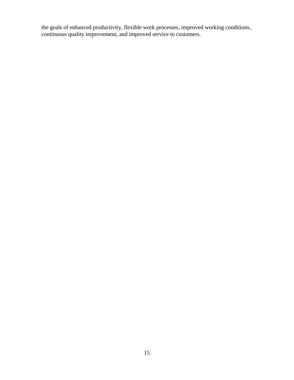the goals of enhanced productivity, flexible work processes, improved working conditions, continuous quality improvement, and improved service to customers.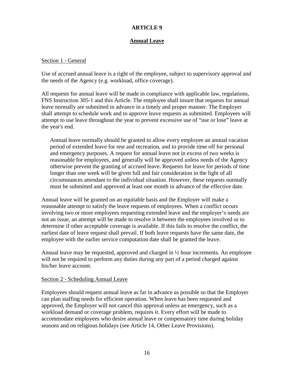# **Annual Leave**

#### <span id="page-18-0"></span>Section 1 - General

Use of accrued annual leave is a right of the employee, subject to supervisory approval and the needs of the Agency (e.g. workload, office coverage).

All requests for annual leave will be made in compliance with applicable law, regulations, FNS Instruction 305-1 and this Article. The employee shall insure that requests for annual leave normally are submitted in advance in a timely and proper manner. The Employer shall attempt to schedule work and to approve leave requests as submitted. Employees will attempt to use leave throughout the year to prevent excessive use of "use or lose" leave at the year's end.

Annual leave normally should be granted to allow every employee an annual vacation period of extended leave for rest and recreation, and to provide time off for personal and emergency purposes. A request for annual leave not in excess of two weeks is reasonable for employees, and generally will be approved unless needs of the Agency otherwise prevent the granting of accrued leave. Requests for leave for periods of time longer than one week will be given full and fair consideration in the light of all circumstances attendant to the individual situation. However, these requests normally must be submitted and approved at least one month in advance of the effective date.

Annual leave will be granted on an equitable basis and the Employer will make a reasonable attempt to satisfy the leave requests of employees. When a conflict occurs involving two or more employees requesting extended leave and the employer's needs are not an issue, an attempt will be made to resolve it between the employees involved or to determine if other acceptable coverage is available. If this fails to resolve the conflict, the earliest date of leave request shall prevail. If both leave requests have the same date, the employee with the earlier service computation date shall be granted the leave.

Annual leave may be requested, approved and charged in ½ hour increments. An employee will not be required to perform any duties during any part of a period charged against his/her leave account.

#### Section 2 - Scheduling Annual Leave

Employees should request annual leave as far in advance as possible so that the Employer can plan staffing needs for efficient operation. When leave has been requested and approved, the Employer will not cancel this approval unless an emergency, such as a workload demand or coverage problem, requires it. Every effort will be made to accommodate employees who desire annual leave or compensatory time during holiday seasons and on religious holidays (see Article 14, Other Leave Provisions).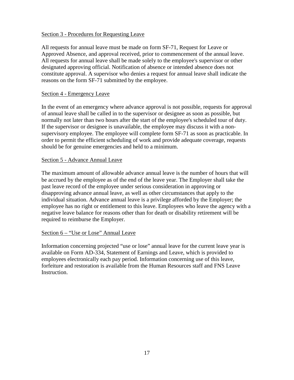# Section 3 - Procedures for Requesting Leave

All requests for annual leave must be made on form SF-71, Request for Leave or Approved Absence, and approval received, prior to commencement of the annual leave. All requests for annual leave shall be made solely to the employee's supervisor or other designated approving official. Notification of absence or intended absence does not constitute approval. A supervisor who denies a request for annual leave shall indicate the reasons on the form SF-71 submitted by the employee.

## Section 4 - Emergency Leave

In the event of an emergency where advance approval is not possible, requests for approval of annual leave shall be called in to the supervisor or designee as soon as possible, but normally not later than two hours after the start of the employee's scheduled tour of duty. If the supervisor or designee is unavailable, the employee may discuss it with a nonsupervisory employee. The employee will complete form SF-71 as soon as practicable. In order to permit the efficient scheduling of work and provide adequate coverage, requests should be for genuine emergencies and held to a minimum.

## Section 5 - Advance Annual Leave

The maximum amount of allowable advance annual leave is the number of hours that will be accrued by the employee as of the end of the leave year. The Employer shall take the past leave record of the employee under serious consideration in approving or disapproving advance annual leave, as well as other circumstances that apply to the individual situation. Advance annual leave is a privilege afforded by the Employer; the employee has no right or entitlement to this leave. Employees who leave the agency with a negative leave balance for reasons other than for death or disability retirement will be required to reimburse the Employer.

# Section 6 – "Use or Lose" Annual Leave

Information concerning projected "use or lose" annual leave for the current leave year is available on Form AD-334, Statement of Earnings and Leave, which is provided to employees electronically each pay period. Information concerning use of this leave, forfeiture and restoration is available from the Human Resources staff and FNS Leave Instruction.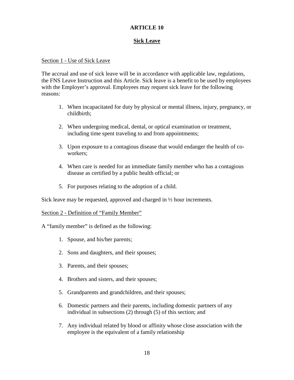# **Sick Leave**

# <span id="page-20-0"></span>Section 1 - Use of Sick Leave

The accrual and use of sick leave will be in accordance with applicable law, regulations, the FNS Leave Instruction and this Article. Sick leave is a benefit to be used by employees with the Employer's approval. Employees may request sick leave for the following reasons:

- 1. When incapacitated for duty by physical or mental illness, injury, pregnancy, or childbirth;
- 2. When undergoing medical, dental, or optical examination or treatment, including time spent traveling to and from appointments;
- 3. Upon exposure to a contagious disease that would endanger the health of coworkers;
- 4. When care is needed for an immediate family member who has a contagious disease as certified by a public health official; or
- 5. For purposes relating to the adoption of a child.

Sick leave may be requested, approved and charged in ½ hour increments.

Section 2 - Definition of "Family Member"

A "family member" is defined as the following:

- 1. Spouse, and his/her parents;
- 2. Sons and daughters, and their spouses;
- 3. Parents, and their spouses;
- 4. Brothers and sisters, and their spouses;
- 5. Grandparents and grandchildren, and their spouses;
- 6. Domestic partners and their parents, including domestic partners of any individual in subsections (2) through (5) of this section; and
- 7. Any individual related by blood or affinity whose close association with the employee is the equivalent of a family relationship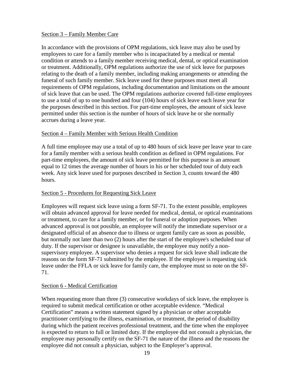# Section 3 – Family Member Care

In accordance with the provisions of OPM regulations, sick leave may also be used by employees to care for a family member who is incapacitated by a medical or mental condition or attends to a family member receiving medical, dental, or optical examination or treatment. Additionally, OPM regulations authorize the use of sick leave for purposes relating to the death of a family member, including making arrangements or attending the funeral of such family member. Sick leave used for these purposes must meet all requirements of OPM regulations, including documentation and limitations on the amount of sick leave that can be used. The OPM regulations authorize covered full-time employees to use a total of up to one hundred and four (104) hours of sick leave each leave year for the purposes described in this section. For part-time employees, the amount of sick leave permitted under this section is the number of hours of sick leave he or she normally accrues during a leave year.

# Section 4 – Family Member with Serious Health Condition

A full time employee may use a total of up to 480 hours of sick leave per leave year to care for a family member with a serious health condition as defined in OPM regulations. For part-time employees, the amount of sick leave permitted for this purpose is an amount equal to 12 times the average number of hours in his or her scheduled tour of duty each week. Any sick leave used for purposes described in Section 3, counts toward the 480 hours.

## Section 5 - Procedures for Requesting Sick Leave

Employees will request sick leave using a form SF-71. To the extent possible, employees will obtain advanced approval for leave needed for medical, dental, or optical examinations or treatment, to care for a family member, or for funeral or adoption purposes. When advanced approval is not possible, an employee will notify the immediate supervisor or a designated official of an absence due to illness or urgent family care as soon as possible, but normally not later than two (2) hours after the start of the employee's scheduled tour of duty. If the supervisor or designee is unavailable, the employee may notify a nonsupervisory employee. A supervisor who denies a request for sick leave shall indicate the reasons on the form SF-71 submitted by the employee. If the employee is requesting sick leave under the FFLA or sick leave for family care, the employee must so note on the SF-71.

## Section 6 - Medical Certification

When requesting more than three (3) consecutive workdays of sick leave, the employee is required to submit medical certification or other acceptable evidence. "Medical Certification" means a written statement signed by a physician or other acceptable practitioner certifying to the illness, examination, or treatment, the period of disability during which the patient receives professional treatment, and the time when the employee is expected to return to full or limited duty. If the employee did not consult a physician, the employee may personally certify on the SF-71 the nature of the illness and the reasons the employee did not consult a physician, subject to the Employer's approval.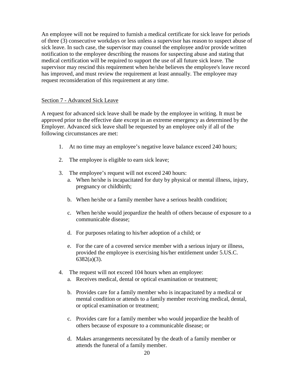An employee will not be required to furnish a medical certificate for sick leave for periods of three (3) consecutive workdays or less unless a supervisor has reason to suspect abuse of sick leave. In such case, the supervisor may counsel the employee and/or provide written notification to the employee describing the reasons for suspecting abuse and stating that medical certification will be required to support the use of all future sick leave. The supervisor may rescind this requirement when he/she believes the employee's leave record has improved, and must review the requirement at least annually. The employee may request reconsideration of this requirement at any time.

# Section 7 - Advanced Sick Leave

A request for advanced sick leave shall be made by the employee in writing. It must be approved prior to the effective date except in an extreme emergency as determined by the Employer. Advanced sick leave shall be requested by an employee only if all of the following circumstances are met:

- 1. At no time may an employee's negative leave balance exceed 240 hours;
- 2. The employee is eligible to earn sick leave;
- 3. The employee's request will not exceed 240 hours:
	- a. When he/she is incapacitated for duty by physical or mental illness, injury, pregnancy or childbirth;
	- b. When he/she or a family member have a serious health condition;
	- c. When he/she would jeopardize the health of others because of exposure to a communicable disease;
	- d. For purposes relating to his/her adoption of a child; or
	- e. For the care of a covered service member with a serious injury or illness, provided the employee is exercising his/her entitlement under 5.US.C. 6382(a)(3).
- 4. The request will not exceed 104 hours when an employee:
	- a. Receives medical, dental or optical examination or treatment;
	- b. Provides care for a family member who is incapacitated by a medical or mental condition or attends to a family member receiving medical, dental, or optical examination or treatment;
	- c. Provides care for a family member who would jeopardize the health of others because of exposure to a communicable disease; or
	- d. Makes arrangements necessitated by the death of a family member or attends the funeral of a family member.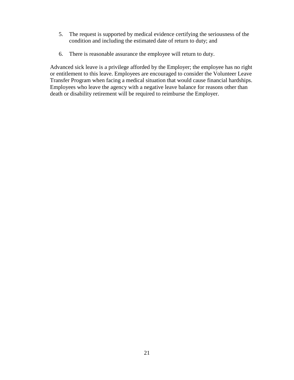- 5. The request is supported by medical evidence certifying the seriousness of the condition and including the estimated date of return to duty; and
- 6. There is reasonable assurance the employee will return to duty.

Advanced sick leave is a privilege afforded by the Employer; the employee has no right or entitlement to this leave. Employees are encouraged to consider the Volunteer Leave Transfer Program when facing a medical situation that would cause financial hardships. Employees who leave the agency with a negative leave balance for reasons other than death or disability retirement will be required to reimburse the Employer.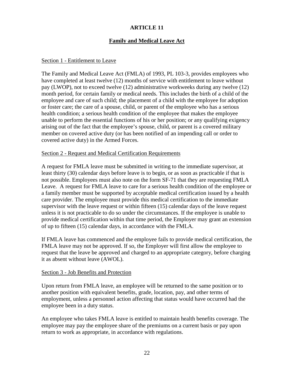# **Family and Medical Leave Act**

#### Section 1 - Entitlement to Leave

The Family and Medical Leave Act (FMLA) of 1993, PL 103-3, provides employees who have completed at least twelve (12) months of service with entitlement to leave without pay (LWOP), not to exceed twelve (12) administrative workweeks during any twelve (12) month period, for certain family or medical needs. This includes the birth of a child of the employee and care of such child; the placement of a child with the employee for adoption or foster care; the care of a spouse, child, or parent of the employee who has a serious health condition; a serious health condition of the employee that makes the employee unable to perform the essential functions of his or her position; or any qualifying exigency arising out of the fact that the employee's spouse, child, or parent is a covered military member on covered active duty (or has been notified of an impending call or order to covered active duty) in the Armed Forces.

#### Section 2 - Request and Medical Certification Requirements

A request for FMLA leave must be submitted in writing to the immediate supervisor, at least thirty (30) calendar days before leave is to begin, or as soon as practicable if that is not possible. Employees must also note on the form SF-71 that they are requesting FMLA Leave. A request for FMLA leave to care for a serious health condition of the employee or a family member must be supported by acceptable medical certification issued by a health care provider. The employee must provide this medical certification to the immediate supervisor with the leave request or within fifteen (15) calendar days of the leave request unless it is not practicable to do so under the circumstances. If the employee is unable to provide medical certification within that time period, the Employer may grant an extension of up to fifteen (15) calendar days, in accordance with the FMLA.

If FMLA leave has commenced and the employee fails to provide medical certification, the FMLA leave may not be approved. If so, the Employer will first allow the employee to request that the leave be approved and charged to an appropriate category, before charging it as absent without leave (AWOL).

#### Section 3 - Job Benefits and Protection

Upon return from FMLA leave, an employee will be returned to the same position or to another position with equivalent benefits, grade, location, pay, and other terms of employment, unless a personnel action affecting that status would have occurred had the employee been in a duty status.

An employee who takes FMLA leave is entitled to maintain health benefits coverage. The employee may pay the employee share of the premiums on a current basis or pay upon return to work as appropriate, in accordance with regulations.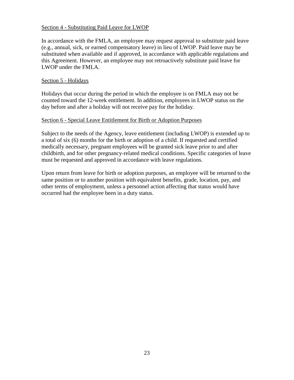# Section 4 - Substituting Paid Leave for LWOP

In accordance with the FMLA, an employee may request approval to substitute paid leave (e.g., annual, sick, or earned compensatory leave) in lieu of LWOP. Paid leave may be substituted when available and if approved, in accordance with applicable regulations and this Agreement. However, an employee may not retroactively substitute paid leave for LWOP under the FMLA.

# Section 5 - Holidays

Holidays that occur during the period in which the employee is on FMLA may not be counted toward the 12-week entitlement. In addition, employees in LWOP status on the day before and after a holiday will not receive pay for the holiday.

# Section 6 - Special Leave Entitlement for Birth or Adoption Purposes

Subject to the needs of the Agency, leave entitlement (including LWOP) is extended up to a total of six (6) months for the birth or adoption of a child. If requested and certified medically necessary, pregnant employees will be granted sick leave prior to and after childbirth, and for other pregnancy-related medical conditions. Specific categories of leave must be requested and approved in accordance with leave regulations.

Upon return from leave for birth or adoption purposes, an employee will be returned to the same position or to another position with equivalent benefits, grade, location, pay, and other terms of employment, unless a personnel action affecting that status would have occurred had the employee been in a duty status.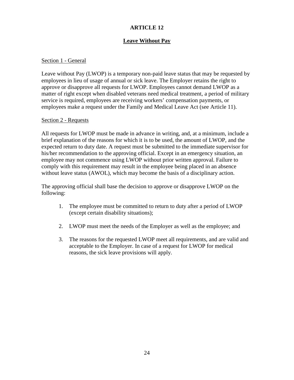# **Leave Without Pay**

# <span id="page-26-0"></span>Section 1 - General

Leave without Pay (LWOP) is a temporary non-paid leave status that may be requested by employees in lieu of usage of annual or sick leave. The Employer retains the right to approve or disapprove all requests for LWOP. Employees cannot demand LWOP as a matter of right except when disabled veterans need medical treatment, a period of military service is required, employees are receiving workers' compensation payments, or employees make a request under the Family and Medical Leave Act (see Article 11).

## Section 2 - Requests

All requests for LWOP must be made in advance in writing, and, at a minimum, include a brief explanation of the reasons for which it is to be used, the amount of LWOP, and the expected return to duty date. A request must be submitted to the immediate supervisor for his/her recommendation to the approving official. Except in an emergency situation, an employee may not commence using LWOP without prior written approval. Failure to comply with this requirement may result in the employee being placed in an absence without leave status (AWOL), which may become the basis of a disciplinary action.

The approving official shall base the decision to approve or disapprove LWOP on the following:

- 1. The employee must be committed to return to duty after a period of LWOP (except certain disability situations);
- 2. LWOP must meet the needs of the Employer as well as the employee; and
- 3. The reasons for the requested LWOP meet all requirements, and are valid and acceptable to the Employer. In case of a request for LWOP for medical reasons, the sick leave provisions will apply.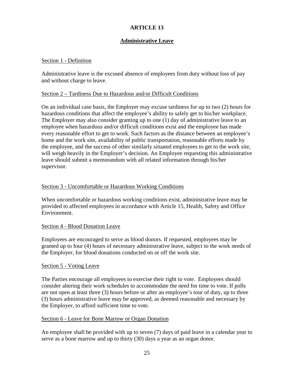# **Administrative Leave**

# <span id="page-27-0"></span>Section 1 - Definition

Administrative leave is the excused absence of employees from duty without loss of pay and without charge to leave.

# Section 2 – Tardiness Due to Hazardous and/or Difficult Conditions

On an individual case basis, the Employer may excuse tardiness for up to two (2) hours for hazardous conditions that affect the employee's ability to safely get to his/her workplace. The Employer may also consider granting up to one (1) day of administrative leave to an employee when hazardous and/or difficult conditions exist and the employee has made every reasonable effort to get to work. Such factors as the distance between an employee's home and the work site, availability of public transportation, reasonable efforts made by the employee, and the success of other similarly situated employees to get to the work site, will weigh heavily in the Employer's decision. An Employee requesting this administrative leave should submit a memorandum with all related information through his/her supervisor.

# Section 3 - Uncomfortable or Hazardous Working Conditions

When uncomfortable or hazardous working conditions exist, administrative leave may be provided to affected employees in accordance with Article 15, Health, Safety and Office Environment.

## Section 4 - Blood Donation Leave

Employees are encouraged to serve as blood donors. If requested, employees may be granted up to four (4) hours of necessary administrative leave, subject to the work needs of the Employer, for blood donations conducted on or off the work site.

## Section 5 - Voting Leave

The Parties encourage all employees to exercise their right to vote. Employees should consider altering their work schedules to accommodate the need for time to vote. If polls are not open at least three (3) hours before or after an employee's tour of duty, up to three (3) hours administrative leave may be approved, as deemed reasonable and necessary by the Employer, to afford sufficient time to vote.

## Section 6 - Leave for Bone Marrow or Organ Donation

An employee shall be provided with up to seven (7) days of paid leave in a calendar year to serve as a bone marrow and up to thirty (30) days a year as an organ donor.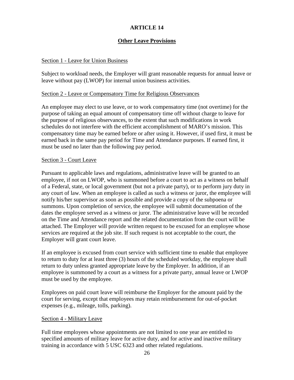# **Other Leave Provisions**

# Section 1 - Leave for Union Business

Subject to workload needs, the Employer will grant reasonable requests for annual leave or leave without pay (LWOP) for internal union business activities.

## Section 2 - Leave or Compensatory Time for Religious Observances

An employee may elect to use leave, or to work compensatory time (not overtime) for the purpose of taking an equal amount of compensatory time off without charge to leave for the purpose of religious observances, to the extent that such modifications in work schedules do not interfere with the efficient accomplishment of MARO's mission. This compensatory time may be earned before or after using it. However, if used first, it must be earned back in the same pay period for Time and Attendance purposes. If earned first, it must be used no later than the following pay period.

#### Section 3 - Court Leave

Pursuant to applicable laws and regulations, administrative leave will be granted to an employee, if not on LWOP, who is summoned before a court to act as a witness on behalf of a Federal, state, or local government (but not a private party), or to perform jury duty in any court of law. When an employee is called as such a witness or juror, the employee will notify his/her supervisor as soon as possible and provide a copy of the subpoena or summons. Upon completion of service, the employee will submit documentation of the dates the employee served as a witness or juror. The administrative leave will be recorded on the Time and Attendance report and the related documentation from the court will be attached. The Employer will provide written request to be excused for an employee whose services are required at the job site. If such request is not acceptable to the court, the Employer will grant court leave.

If an employee is excused from court service with sufficient time to enable that employee to return to duty for at least three (3) hours of the scheduled workday, the employee shall return to duty unless granted appropriate leave by the Employer. In addition, if an employee is summoned by a court as a witness for a private party, annual leave or LWOP must be used by the employee.

Employees on paid court leave will reimburse the Employer for the amount paid by the court for serving, except that employees may retain reimbursement for out-of-pocket expenses (e.g., mileage, tolls, parking).

## Section 4 - Military Leave

Full time employees whose appointments are not limited to one year are entitled to specified amounts of military leave for active duty, and for active and inactive military training in accordance with 5 USC 6323 and other related regulations.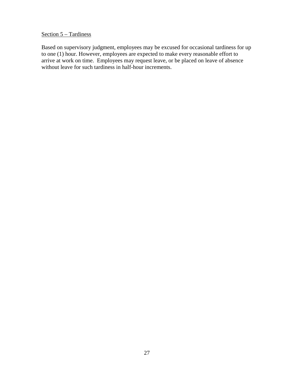# Section 5 – Tardiness

Based on supervisory judgment, employees may be excused for occasional tardiness for up to one (1) hour. However, employees are expected to make every reasonable effort to arrive at work on time. Employees may request leave, or be placed on leave of absence without leave for such tardiness in half-hour increments.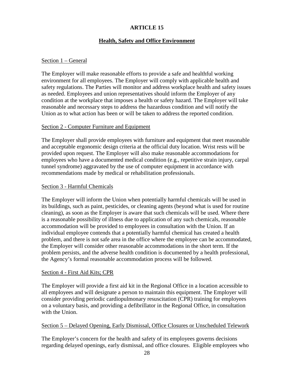# **Health, Safety and Office Environment**

#### <span id="page-30-0"></span>Section 1 – General

The Employer will make reasonable efforts to provide a safe and healthful working environment for all employees. The Employer will comply with applicable health and safety regulations. The Parties will monitor and address workplace health and safety issues as needed. Employees and union representatives should inform the Employer of any condition at the workplace that imposes a health or safety hazard. The Employer will take reasonable and necessary steps to address the hazardous condition and will notify the Union as to what action has been or will be taken to address the reported condition.

#### Section 2 - Computer Furniture and Equipment

The Employer shall provide employees with furniture and equipment that meet reasonable and acceptable ergonomic design criteria at the official duty location. Wrist rests will be provided upon request. The Employer will also make reasonable accommodations for employees who have a documented medical condition (e.g., repetitive strain injury, carpal tunnel syndrome) aggravated by the use of computer equipment in accordance with recommendations made by medical or rehabilitation professionals.

#### Section 3 - Harmful Chemicals

The Employer will inform the Union when potentially harmful chemicals will be used in its buildings, such as paint, pesticides, or cleaning agents (beyond what is used for routine cleaning), as soon as the Employer is aware that such chemicals will be used. Where there is a reasonable possibility of illness due to application of any such chemicals, reasonable accommodation will be provided to employees in consultation with the Union. If an individual employee contends that a potentially harmful chemical has created a health problem, and there is not safe area in the office where the employee can be accommodated, the Employer will consider other reasonable accommodations in the short term. If the problem persists, and the adverse health condition is documented by a health professional, the Agency's formal reasonable accommodation process will be followed.

## Section 4 - First Aid Kits; CPR

The Employer will provide a first aid kit in the Regional Office in a location accessible to all employees and will designate a person to maintain this equipment. The Employer will consider providing periodic cardiopulmonary resuscitation (CPR) training for employees on a voluntary basis, and providing a defibrillator in the Regional Office, in consultation with the Union.

# Section 5 – Delayed Opening, Early Dismissal, Office Closures or Unscheduled Telework

The Employer's concern for the health and safety of its employees governs decisions regarding delayed openings, early dismissal, and office closures. Eligible employees who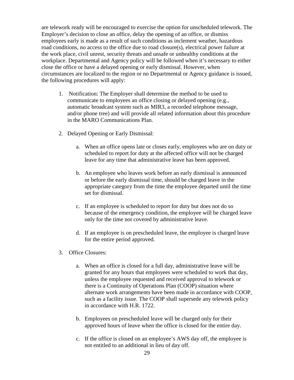are telework ready will be encouraged to exercise the option for unscheduled telework. The Employer's decision to close an office, delay the opening of an office, or dismiss employees early is made as a result of such conditions as inclement weather, hazardous road conditions, no access to the office due to road closure(s), electrical power failure at the work place, civil unrest, security threats and unsafe or unhealthy conditions at the workplace. Departmental and Agency policy will be followed when it's necessary to either close the office or have a delayed opening or early dismissal. However, when circumstances are localized to the region or no Departmental or Agency guidance is issued, the following procedures will apply:

- 1. Notification: The Employer shall determine the method to be used to communicate to employees an office closing or delayed opening (e.g., automatic broadcast system such as MIR3, a recorded telephone message, and/or phone tree) and will provide all related information about this procedure in the MARO Communications Plan.
- 2. Delayed Opening or Early Dismissal:
	- a. When an office opens late or closes early, employees who are on duty or scheduled to report for duty at the affected office will not be charged leave for any time that administrative leave has been approved.
	- b. An employee who leaves work before an early dismissal is announced or before the early dismissal time, should be charged leave in the appropriate category from the time the employee departed until the time set for dismissal.
	- c. If an employee is scheduled to report for duty but does not do so because of the emergency condition, the employee will be charged leave only for the time not covered by administrative leave.
	- d. If an employee is on prescheduled leave, the employee is charged leave for the entire period approved.
- 3. Office Closures:
	- a. When an office is closed for a full day, administrative leave will be granted for any hours that employees were scheduled to work that day, unless the employee requested and received approval to telework or there is a Continuity of Operations Plan (COOP) situation where alternate work arrangements have been made in accordance with COOP, such as a facility issue. The COOP shall supersede any telework policy in accordance with H.R. 1722.
	- b. Employees on prescheduled leave will be charged only for their approved hours of leave when the office is closed for the entire day.
	- c. If the office is closed on an employee's AWS day off, the employee is not entitled to an additional in lieu of day off.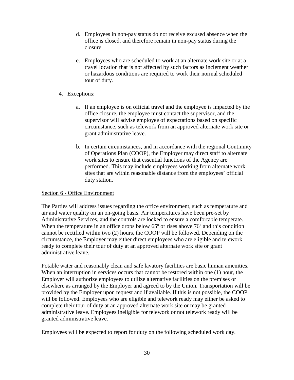- d. Employees in non-pay status do not receive excused absence when the office is closed, and therefore remain in non-pay status during the closure.
- e. Employees who are scheduled to work at an alternate work site or at a travel location that is not affected by such factors as inclement weather or hazardous conditions are required to work their normal scheduled tour of duty.
- 4. Exceptions:
	- a. If an employee is on official travel and the employee is impacted by the office closure, the employee must contact the supervisor, and the supervisor will advise employee of expectations based on specific circumstance, such as telework from an approved alternate work site or grant administrative leave.
	- b. In certain circumstances, and in accordance with the regional Continuity of Operations Plan (COOP), the Employer may direct staff to alternate work sites to ensure that essential functions of the Agency are performed. This may include employees working from alternate work sites that are within reasonable distance from the employees' official duty station.

# Section 6 - Office Environment

The Parties will address issues regarding the office environment, such as temperature and air and water quality on an on-going basis. Air temperatures have been pre-set by Administrative Services, and the controls are locked to ensure a comfortable temperate. When the temperature in an office drops below 65<sup>°</sup> or rises above 76<sup>°</sup> and this condition cannot be rectified within two (2) hours, the COOP will be followed. Depending on the circumstance, the Employer may either direct employees who are eligible and telework ready to complete their tour of duty at an approved alternate work site or grant administrative leave.

Potable water and reasonably clean and safe lavatory facilities are basic human amenities. When an interruption in services occurs that cannot be restored within one (1) hour, the Employer will authorize employees to utilize alternative facilities on the premises or elsewhere as arranged by the Employer and agreed to by the Union. Transportation will be provided by the Employer upon request and if available. If this is not possible, the COOP will be followed. Employees who are eligible and telework ready may either be asked to complete their tour of duty at an approved alternate work site or may be granted administrative leave. Employees ineligible for telework or not telework ready will be granted administrative leave.

Employees will be expected to report for duty on the following scheduled work day.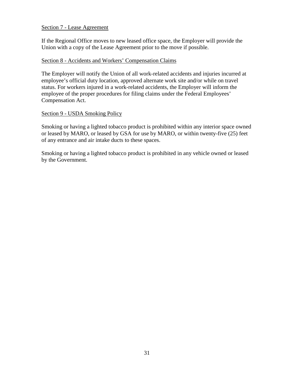# Section 7 - Lease Agreement

If the Regional Office moves to new leased office space, the Employer will provide the Union with a copy of the Lease Agreement prior to the move if possible.

# Section 8 - Accidents and Workers' Compensation Claims

The Employer will notify the Union of all work-related accidents and injuries incurred at employee's official duty location, approved alternate work site and/or while on travel status. For workers injured in a work-related accidents, the Employer will inform the employee of the proper procedures for filing claims under the Federal Employees' Compensation Act.

## Section 9 - USDA Smoking Policy

Smoking or having a lighted tobacco product is prohibited within any interior space owned or leased by MARO, or leased by GSA for use by MARO, or within twenty-five (25) feet of any entrance and air intake ducts to these spaces.

Smoking or having a lighted tobacco product is prohibited in any vehicle owned or leased by the Government.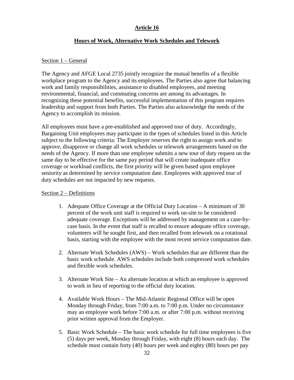# **Article 16**

# **Hours of Work, Alternative Work Schedules and Telework**

## <span id="page-34-0"></span>Section 1 – General

The Agency and AFGE Local 2735 jointly recognize the mutual benefits of a flexible workplace program to the Agency and its employees. The Parties also agree that balancing work and family responsibilities, assistance to disabled employees, and meeting environmental, financial, and commuting concerns are among its advantages. In recognizing these potential benefits, successful implementation of this program requires leadership and support from both Parties. The Parties also acknowledge the needs of the Agency to accomplish its mission.

All employees must have a pre-established and approved tour of duty. Accordingly, Bargaining Unit employees may participate in the types of schedules listed in this Article subject to the following criteria: The Employer reserves the right to assign work and to approve, disapprove or change all work schedules or telework arrangements based on the needs of the Agency. If more than one employee submits a new tour of duty request on the same day to be effective for the same pay period that will create inadequate office coverage or workload conflicts, the first priority will be given based upon employee seniority as determined by service computation date. Employees with approved tour of duty schedules are not impacted by new requests.

# Section 2 – Definitions

- 1. Adequate Office Coverage at the Official Duty Location A minimum of 30 percent of the work unit staff is required to work on-site to be considered adequate coverage. Exceptions will be addressed by management on a case-bycase basis. In the event that staff is recalled to ensure adequate office coverage, volunteers will be sought first, and then recalled from telework on a rotational basis, starting with the employee with the most recent service computation date.
- 2. Alternate Work Schedules (AWS) Work schedules that are different than the basic work schedule. AWS schedules include both compressed work schedules and flexible work schedules.
- 3. Alternate Work Site An alternate location at which an employee is approved to work in lieu of reporting to the official duty location.
- 4. Available Work Hours The Mid-Atlantic Regional Office will be open Monday through Friday, from 7:00 a.m. to 7:00 p.m. Under no circumstance may an employee work before 7:00 a.m. or after 7:00 p.m. without receiving prior written approval from the Employer.
- 5. Basic Work Schedule The basic work schedule for full time employees is five (5) days per week, Monday through Friday, with eight (8) hours each day. The schedule must contain forty (40) hours per week and eighty (80) hours per pay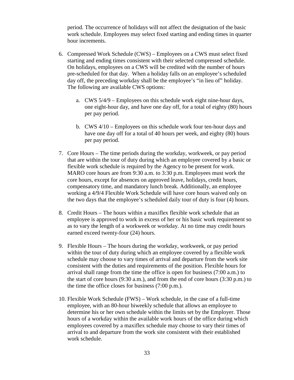period. The occurrence of holidays will not affect the designation of the basic work schedule. Employees may select fixed starting and ending times in quarter hour increments.

- 6. Compressed Work Schedule (CWS) Employees on a CWS must select fixed starting and ending times consistent with their selected compressed schedule. On holidays, employees on a CWS will be credited with the number of hours pre-scheduled for that day. When a holiday falls on an employee's scheduled day off, the preceding workday shall be the employee's "in lieu of" holiday. The following are available CWS options:
	- a. CWS 5/4/9 Employees on this schedule work eight nine-hour days, one eight-hour day, and have one day off, for a total of eighty (80) hours per pay period.
	- b. CWS 4/10 Employees on this schedule work four ten-hour days and have one day off for a total of 40 hours per week, and eighty (80) hours per pay period.
- 7. Core Hours The time periods during the workday, workweek, or pay period that are within the tour of duty during which an employee covered by a basic or flexible work schedule is required by the Agency to be present for work. MARO core hours are from 9:30 a.m. to 3:30 p.m. Employees must work the core hours, except for absences on approved leave, holidays, credit hours, compensatory time, and mandatory lunch break. Additionally, an employee working a 4/9/4 Flexible Work Schedule will have core hours waived only on the two days that the employee's scheduled daily tour of duty is four (4) hours.
- 8. Credit Hours The hours within a maxiflex flexible work schedule that an employee is approved to work in excess of her or his basic work requirement so as to vary the length of a workweek or workday. At no time may credit hours earned exceed twenty-four (24) hours.
- 9. Flexible Hours The hours during the workday, workweek, or pay period within the tour of duty during which an employee covered by a flexible work schedule may choose to vary times of arrival and departure from the work site consistent with the duties and requirements of the position. Flexible hours for arrival shall range from the time the office is open for business (7:00 a.m.) to the start of core hours  $(9:30 \text{ a.m.})$ , and from the end of core hours  $(3:30 \text{ p.m.})$  to the time the office closes for business (7:00 p.m.).
- 10. Flexible Work Schedule (FWS) Work schedule, in the case of a full-time employee, with an 80-hour biweekly schedule that allows an employee to determine his or her own schedule within the limits set by the Employer. Those hours of a workday within the available work hours of the office during which employees covered by a maxiflex schedule may choose to vary their times of arrival to and departure from the work site consistent with their established work schedule.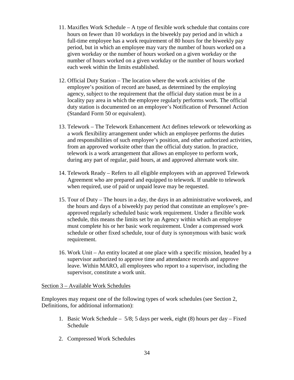- 11. Maxiflex Work Schedule A type of flexible work schedule that contains core hours on fewer than 10 workdays in the biweekly pay period and in which a full-time employee has a work requirement of 80 hours for the biweekly pay period, but in which an employee may vary the number of hours worked on a given workday or the number of hours worked on a given workday or the number of hours worked on a given workday or the number of hours worked each week within the limits established.
- 12. Official Duty Station The location where the work activities of the employee's position of record are based, as determined by the employing agency, subject to the requirement that the official duty station must be in a locality pay area in which the employee regularly performs work. The official duty station is documented on an employee's Notification of Personnel Action (Standard Form 50 or equivalent).
- 13. Telework The Telework Enhancement Act defines telework or teleworking as a work flexibility arrangement under which an employee performs the duties and responsibilities of such employee's position, and other authorized activities, from an approved worksite other than the official duty station. In practice, telework is a work arrangement that allows an employee to perform work, during any part of regular, paid hours, at and approved alternate work site.
- 14. Telework Ready Refers to all eligible employees with an approved Telework Agreement who are prepared and equipped to telework. If unable to telework when required, use of paid or unpaid leave may be requested.
- 15. Tour of Duty The hours in a day, the days in an administrative workweek, and the hours and days of a biweekly pay period that constitute an employee's preapproved regularly scheduled basic work requirement. Under a flexible work schedule, this means the limits set by an Agency within which an employee must complete his or her basic work requirement. Under a compressed work schedule or other fixed schedule, tour of duty is synonymous with basic work requirement.
- 16. Work Unit An entity located at one place with a specific mission, headed by a supervisor authorized to approve time and attendance records and approve leave. Within MARO, all employees who report to a supervisor, including the supervisor, constitute a work unit.

Section 3 – Available Work Schedules

Employees may request one of the following types of work schedules (see Section 2, Definitions, for additional information):

- 1. Basic Work Schedule 5/8; 5 days per week, eight (8) hours per day Fixed Schedule
- 2. Compressed Work Schedules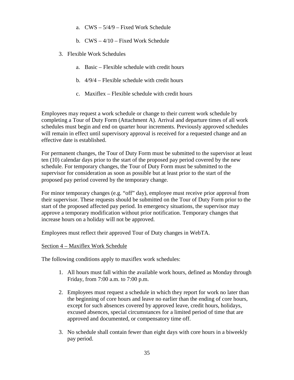- a. CWS 5/4/9 Fixed Work Schedule
- b. CWS 4/10 Fixed Work Schedule
- 3. Flexible Work Schedules
	- a. Basic Flexible schedule with credit hours
	- b. 4/9/4 Flexible schedule with credit hours
	- c. Maxiflex Flexible schedule with credit hours

Employees may request a work schedule or change to their current work schedule by completing a Tour of Duty Form (Attachment A). Arrival and departure times of all work schedules must begin and end on quarter hour increments. Previously approved schedules will remain in effect until supervisory approval is received for a requested change and an effective date is established.

For permanent changes, the Tour of Duty Form must be submitted to the supervisor at least ten (10) calendar days prior to the start of the proposed pay period covered by the new schedule. For temporary changes, the Tour of Duty Form must be submitted to the supervisor for consideration as soon as possible but at least prior to the start of the proposed pay period covered by the temporary change.

For minor temporary changes (e.g. "off" day), employee must receive prior approval from their supervisor. These requests should be submitted on the Tour of Duty Form prior to the start of the proposed affected pay period. In emergency situations, the supervisor may approve a temporary modification without prior notification. Temporary changes that increase hours on a holiday will not be approved.

Employees must reflect their approved Tour of Duty changes in WebTA.

### Section 4 – Maxiflex Work Schedule

The following conditions apply to maxiflex work schedules:

- 1. All hours must fall within the available work hours, defined as Monday through Friday, from 7:00 a.m. to 7:00 p.m.
- 2. Employees must request a schedule in which they report for work no later than the beginning of core hours and leave no earlier than the ending of core hours, except for such absences covered by approved leave, credit hours, holidays, excused absences, special circumstances for a limited period of time that are approved and documented, or compensatory time off.
- 3. No schedule shall contain fewer than eight days with core hours in a biweekly pay period.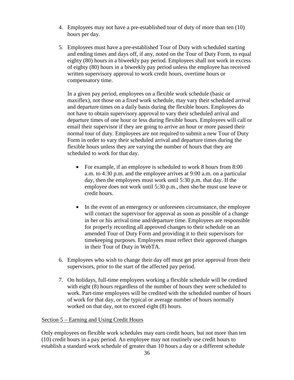- 4. Employees may not have a pre-established tour of duty of more than ten (10) hours per day.
- 5. Employees must have a pre-established Tour of Duty with scheduled starting and ending times and days off, if any, noted on the Tour of Duty Form, to equal eighty (80) hours in a biweekly pay period. Employees shall not work in excess of eighty (80) hours in a biweekly pay period unless the employee has received written supervisory approval to work credit hours, overtime hours or compensatory time.

In a given pay period, employees on a flexible work schedule (basic or maxiflex), not those on a fixed work schedule, may vary their scheduled arrival and departure times on a daily basis during the flexible hours. Employees do not have to obtain supervisory approval to vary their scheduled arrival and departure times of one hour or less during flexible hours. Employees will call or email their supervisor if they are going to arrive an hour or more passed their normal tour of duty. Employees are not required to submit a new Tour of Duty Form in order to vary their scheduled arrival and departure times during the flexible hours unless they are varying the number of hours that they are scheduled to work for that day.

- For example, if an employee is scheduled to work 8 hours from 8:00 a.m. to 4:30 p.m. and the employee arrives at 9:00 a.m. on a particular day, then the employees must work until 5:30 p.m. that day. If the employee does not work until 5:30 p.m., then she/he must use leave or credit hours.
- In the event of an emergency or unforeseen circumstance, the employee will contact the supervisor for approval as soon as possible of a change in her or his arrival time and/departure time. Employees are responsible for properly recording all approved changes to their schedule on an amended Tour of Duty Form and providing it to their supervisors for timekeeping purposes. Employees must reflect their approved changes in their Tour of Duty in WebTA.
- 6. Employees who wish to change their day off must get prior approval from their supervisors, prior to the start of the affected pay period.
- 7. On holidays, full-time employees working a flexible schedule will be credited with eight (8) hours regardless of the number of hours they were scheduled to work. Part-time employees will be credited with the scheduled number of hours of work for that day, or the typical or average number of hours normally worked on that day, not to exceed eight (8) hours.

# Section 5 – Earning and Using Credit Hours

Only employees on flexible work schedules may earn credit hours, but not more than ten (10) credit hours in a pay period. An employee may not routinely use credit hours to establish a standard work schedule of greater than 10 hours a day or a different schedule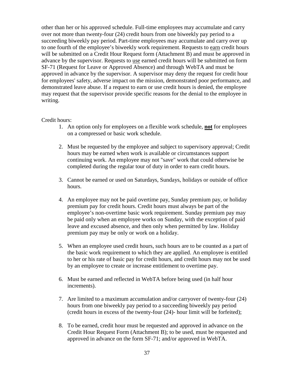other than her or his approved schedule. Full-time employees may accumulate and carry over not more than twenty-four (24) credit hours from one biweekly pay period to a succeeding biweekly pay period. Part-time employees may accumulate and carry over up to one fourth of the employee's biweekly work requirement. Requests to earn credit hours will be submitted on a Credit Hour Request form (Attachment B) and must be approved in advance by the supervisor. Requests to use earned credit hours will be submitted on form SF-71 (Request for Leave or Approved Absence) and through WebTA and must be approved in advance by the supervisor. A supervisor may deny the request for credit hour for employees' safety, adverse impact on the mission, demonstrated poor performance, and demonstrated leave abuse. If a request to earn or use credit hours is denied, the employee may request that the supervisor provide specific reasons for the denial to the employee in writing.

### Credit hours:

- 1. An option only for employees on a flexible work schedule, **not** for employees on a compressed or basic work schedule.
- 2. Must be requested by the employee and subject to supervisory approval; Credit hours may be earned when work is available or circumstances support continuing work. An employee may not "save" work that could otherwise be completed during the regular tour of duty in order to earn credit hours.
- 3. Cannot be earned or used on Saturdays, Sundays, holidays or outside of office hours.
- 4. An employee may not be paid overtime pay, Sunday premium pay, or holiday premium pay for credit hours. Credit hours must always be part of the employee's non-overtime basic work requirement. Sunday premium pay may be paid only when an employee works on Sunday, with the exception of paid leave and excused absence, and then only when permitted by law. Holiday premium pay may be only or work on a holiday.
- 5. When an employee used credit hours, such hours are to be counted as a part of the basic work requirement to which they are applied. An employee is entitled to her or his rate of basic pay for credit hours, and credit hours may not be used by an employee to create or increase entitlement to overtime pay.
- 6. Must be earned and reflected in WebTA before being used (in half hour increments).
- 7. Are limited to a maximum accumulation and/or carryover of twenty-four (24) hours from one biweekly pay period to a succeeding biweekly pay period (credit hours in excess of the twenty-four (24)- hour limit will be forfeited);
- 8. To be earned, credit hour must be requested and approved in advance on the Credit Hour Request Form (Attachment B); to be used, must be requested and approved in advance on the form SF-71; and/or approved in WebTA.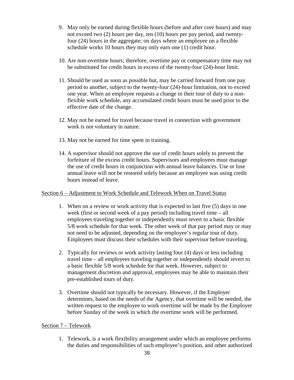- 9. May only be earned during flexible hours (before and after core hours) and may not exceed two (2) hours per day, ten (10) hours per pay period, and twentyfour (24) hours in the aggregate; on days where an employee on a flexible schedule works 10 hours they may only earn one (1) credit hour.
- 10. Are non-overtime hours; therefore, overtime pay or compensatory time may not be substituted for credit hours in excess of the twenty-four (24)-hour limit.
- 11. Should be used as soon as possible but, may be carried forward from one pay period to another, subject to the twenty-four (24)-hour limitation, not to exceed one year. When an employee requests a change in their tour of duty to a nonflexible work schedule, any accumulated credit hours must be used prior to the effective date of the change.
- 12. May not be earned for travel because travel in connection with government work is not voluntary in nature.
- 13. May not be earned for time spent in training.
- 14. A supervisor should not approve the use of credit hours solely to prevent the forfeiture of the excess credit hours. Supervisors and employees must manage the use of credit hours in conjunction with annual leave balances. Use or lose annual leave will not be restored solely because an employee was using credit hours instead of leave.

## Section 6 – Adjustment to Work Schedule and Telework When on Travel Status

- 1. When on a review or work activity that is expected to last five (5) days in one week (first or second week of a pay period) including travel time – all employees traveling together or independently must revert to a basic flexible 5/8 work schedule for that week. The other week of that pay period may or may not need to be adjusted, depending on the employee's regular tour of duty. Employees must discuss their schedules with their supervisor before traveling.
- 2. Typically for reviews or work activity lasting four (4) days or less including travel time – all employees traveling together or independently should revert to a basic flexible 5/8 work schedule for that week. However, subject to management discretion and approval, employees may be able to maintain their pre-established tours of duty.
- 3. Overtime should not typically be necessary. However, if the Employer determines, based on the needs of the Agency, that overtime will be needed, the written request to the employee to work overtime will be made by the Employer before Sunday of the week in which the overtime work will be performed.

# Section 7 – Telework

1. Telework, is a work flexibility arrangement under which an employee performs the duties and responsibilities of such employee's position, and other authorized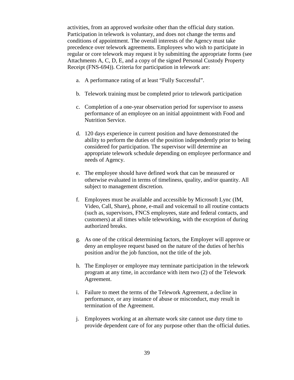activities, from an approved worksite other than the official duty station. Participation in telework is voluntary, and does not change the terms and conditions of appointment. The overall interests of the Agency must take precedence over telework agreements. Employees who wish to participate in regular or core telework may request it by submitting the appropriate forms (see Attachments A, C, D, E, and a copy of the signed Personal Custody Property Receipt (FNS-694)). Criteria for participation in telework are:

- a. A performance rating of at least "Fully Successful".
- b. Telework training must be completed prior to telework participation
- c. Completion of a one-year observation period for supervisor to assess performance of an employee on an initial appointment with Food and Nutrition Service.
- d. 120 days experience in current position and have demonstrated the ability to perform the duties of the position independently prior to being considered for participation. The supervisor will determine an appropriate telework schedule depending on employee performance and needs of Agency.
- e. The employee should have defined work that can be measured or otherwise evaluated in terms of timeliness, quality, and/or quantity. All subject to management discretion.
- f. Employees must be available and accessible by Microsoft Lync (IM, Video, Call, Share), phone, e-mail and voicemail to all routine contacts (such as, supervisors, FNCS employees, state and federal contacts, and customers) at all times while teleworking, with the exception of during authorized breaks.
- g. As one of the critical determining factors, the Employer will approve or deny an employee request based on the nature of the duties of her/his position and/or the job function, not the title of the job.
- h. The Employer or employee may terminate participation in the telework program at any time, in accordance with item two (2) of the Telework Agreement.
- i. Failure to meet the terms of the Telework Agreement, a decline in performance, or any instance of abuse or misconduct, may result in termination of the Agreement.
- j. Employees working at an alternate work site cannot use duty time to provide dependent care of for any purpose other than the official duties.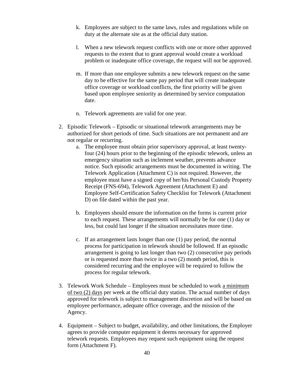- k. Employees are subject to the same laws, rules and regulations while on duty at the alternate site as at the official duty station.
- l. When a new telework request conflicts with one or more other approved requests to the extent that to grant approval would create a workload problem or inadequate office coverage, the request will not be approved.
- m. If more than one employee submits a new telework request on the same day to be effective for the same pay period that will create inadequate office coverage or workload conflicts, the first priority will be given based upon employee seniority as determined by service computation date.
- n. Telework agreements are valid for one year.
- 2. Episodic Telework Episodic or situational telework arrangements may be authorized for short periods of time. Such situations are not permanent and are not regular or recurring.
	- a. The employee must obtain prior supervisory approval, at least twentyfour (24) hours prior to the beginning of the episodic telework, unless an emergency situation such as inclement weather, prevents advance notice. Such episodic arrangements must be documented in writing. The Telework Application (Attachment C) is not required. However, the employee must have a signed copy of her/his Personal Custody Property Receipt (FNS-694), Telework Agreement (Attachment E) and Employee Self-Certification Safety Checklist for Telework (Attachment D) on file dated within the past year.
	- b. Employees should ensure the information on the forms is current prior to each request. These arrangements will normally be for one (1) day or less, but could last longer if the situation necessitates more time.
	- c. If an arrangement lasts longer than one (1) pay period, the normal process for participation in telework should be followed. If an episodic arrangement is going to last longer than two (2) consecutive pay periods or is requested more than twice in a two (2) month period, this is considered recurring and the employee will be required to follow the process for regular telework.
- 3. Telework Work Schedule Employees must be scheduled to work a minimum of two (2) days per week at the official duty station. The actual number of days approved for telework is subject to management discretion and will be based on employee performance, adequate office coverage, and the mission of the Agency.
- 4. Equipment Subject to budget, availability, and other limitations, the Employer agrees to provide computer equipment it deems necessary for approved telework requests. Employees may request such equipment using the request form (Attachment F).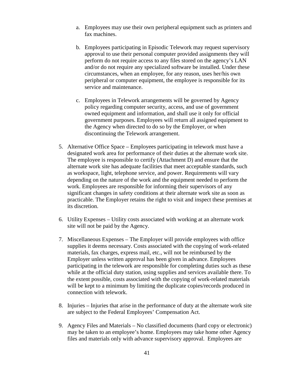- a. Employees may use their own peripheral equipment such as printers and fax machines.
- b. Employees participating in Episodic Telework may request supervisory approval to use their personal computer provided assignments they will perform do not require access to any files stored on the agency's LAN and/or do not require any specialized software be installed. Under these circumstances, when an employee, for any reason, uses her/his own peripheral or computer equipment, the employee is responsible for its service and maintenance.
- c. Employees in Telework arrangements will be governed by Agency policy regarding computer security, access, and use of government owned equipment and information, and shall use it only for official government purposes. Employees will return all assigned equipment to the Agency when directed to do so by the Employer, or when discontinuing the Telework arrangement.
- 5. Alternative Office Space Employees participating in telework must have a designated work area for performance of their duties at the alternate work site. The employee is responsible to certify (Attachment D) and ensure that the alternate work site has adequate facilities that meet acceptable standards, such as workspace, light, telephone service, and power. Requirements will vary depending on the nature of the work and the equipment needed to perform the work. Employees are responsible for informing their supervisors of any significant changes in safety conditions at their alternate work site as soon as practicable. The Employer retains the right to visit and inspect these premises at its discretion.
- 6. Utility Expenses Utility costs associated with working at an alternate work site will not be paid by the Agency.
- 7. Miscellaneous Expenses The Employer will provide employees with office supplies it deems necessary. Costs associated with the copying of work-related materials, fax charges, express mail, etc., will not be reimbursed by the Employer unless written approval has been given in advance. Employees participating in the telework are responsible for completing duties such as these while at the official duty station, using supplies and services available there. To the extent possible, costs associated with the copying of work-related materials will be kept to a minimum by limiting the duplicate copies/records produced in connection with telework.
- 8. Injuries Injuries that arise in the performance of duty at the alternate work site are subject to the Federal Employees' Compensation Act.
- 9. Agency Files and Materials No classified documents (hard copy or electronic) may be taken to an employee's home. Employees may take home other Agency files and materials only with advance supervisory approval. Employees are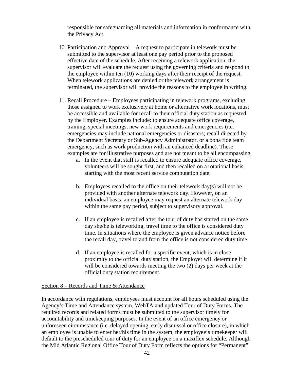responsible for safeguarding all materials and information in conformance with the Privacy Act.

- 10. Participation and Approval A request to participate in telework must be submitted to the supervisor at least one pay period prior to the proposed effective date of the schedule. After receiving a telework application, the supervisor will evaluate the request using the governing criteria and respond to the employee within ten (10) working days after their receipt of the request. When telework applications are denied or the telework arrangement is terminated, the supervisor will provide the reasons to the employee in writing.
- 11. Recall Procedure Employees participating in telework programs, excluding those assigned to work exclusively at home or alternative work locations, must be accessible and available for recall to their official duty station as requested by the Employer. Examples include: to ensure adequate office coverage, training, special meetings, new work requirements and emergencies (i.e. emergencies may include national emergencies or disasters; recall directed by the Department Secretary or Sub-Agency Administrator, or a bona fide team emergency, such as work production with an enhanced deadline). These examples are for illustrative purposes and are not meant to be all encompassing.
	- a. In the event that staff is recalled to ensure adequate office coverage, volunteers will be sought first, and then recalled on a rotational basis, starting with the most recent service computation date.
	- b. Employees recalled to the office on their telework day(s) will not be provided with another alternate telework day. However, on an individual basis, an employee may request an alternate telework day within the same pay period, subject to supervisory approval.
	- c. If an employee is recalled after the tour of duty has started on the same day she/he is teleworking, travel time to the office is considered duty time. In situations where the employee is given advance notice before the recall day, travel to and from the office is not considered duty time.
	- d. If an employee is recalled for a specific event, which is in close proximity to the official duty station, the Employer will determine if it will be considered towards meeting the two  $(2)$  days per week at the official duty station requirement.

#### Section 8 – Records and Time & Attendance

In accordance with regulations, employees must account for all hours scheduled using the Agency's Time and Attendance system, WebTA and updated Tour of Duty Forms. The required records and related forms must be submitted to the supervisor timely for accountability and timekeeping purposes. In the event of an office emergency or unforeseen circumstance (i.e. delayed opening, early dismissal or office closure), in which an employee is unable to enter her/his time in the system, the employee's timekeeper will default to the prescheduled tour of duty for an employee on a maxiflex schedule. Although the Mid Atlantic Regional Office Tour of Duty Form reflects the options for "Permanent"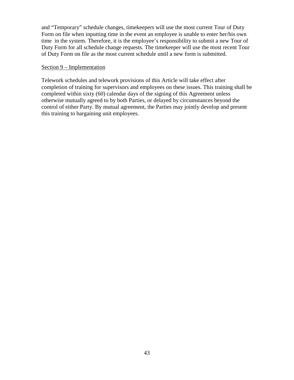and "Temporary" schedule changes, timekeepers will use the most current Tour of Duty Form on file when inputting time in the event an employee is unable to enter her/his own time in the system. Therefore, it is the employee's responsibility to submit a new Tour of Duty Form for all schedule change requests. The timekeeper will use the most recent Tour of Duty Form on file as the most current schedule until a new form is submitted.

#### Section 9 – Implementation

Telework schedules and telework provisions of this Article will take effect after completion of training for supervisors and employees on these issues. This training shall be completed within sixty (60) calendar days of the signing of this Agreement unless otherwise mutually agreed to by both Parties, or delayed by circumstances beyond the control of either Party. By mutual agreement, the Parties may jointly develop and present this training to bargaining unit employees.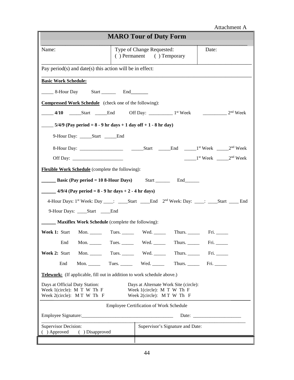| Attachment A                                                                                                                                                                                  |                           |                                                        |                                  |                                                                   |  |
|-----------------------------------------------------------------------------------------------------------------------------------------------------------------------------------------------|---------------------------|--------------------------------------------------------|----------------------------------|-------------------------------------------------------------------|--|
| <b>MARO Tour of Duty Form</b>                                                                                                                                                                 |                           |                                                        |                                  |                                                                   |  |
| Name:                                                                                                                                                                                         |                           | Type of Change Requested:<br>() Permanent () Temporary |                                  | Date:                                                             |  |
| Pay period(s) and date(s) this action will be in effect:                                                                                                                                      |                           |                                                        |                                  |                                                                   |  |
| <b>Basic Work Schedule:</b>                                                                                                                                                                   |                           |                                                        |                                  |                                                                   |  |
| _______ 8-Hour Day Start ___________ End_________                                                                                                                                             |                           |                                                        |                                  |                                                                   |  |
| <b>Compressed Work Schedule</b> (check one of the following):                                                                                                                                 |                           |                                                        |                                  |                                                                   |  |
|                                                                                                                                                                                               |                           |                                                        |                                  |                                                                   |  |
| $5/4/9$ (Pay period = 8 - 9 hr days + 1 day off + 1 - 8 hr day)                                                                                                                               |                           |                                                        |                                  |                                                                   |  |
| 9-Hour Day: ______Start ______End                                                                                                                                                             |                           |                                                        |                                  |                                                                   |  |
|                                                                                                                                                                                               |                           |                                                        |                                  |                                                                   |  |
|                                                                                                                                                                                               |                           |                                                        |                                  | $\frac{1}{2}$ <sup>st</sup> Week $\frac{1}{2}$ <sup>nd</sup> Week |  |
| <b>Flexible Work Schedule</b> (complete the following):                                                                                                                                       |                           |                                                        |                                  |                                                                   |  |
| <b>EXECUTE:</b> Basic (Pay period = 10 8-Hour Days) Start __________ End_____________                                                                                                         |                           |                                                        |                                  |                                                                   |  |
| $\frac{4}{9/4}$ (Pay period = 8 - 9 hr days + 2 - 4 hr days)                                                                                                                                  |                           |                                                        |                                  |                                                                   |  |
| 4-Hour Days: 1st Week: Day ____: _____Start _____End 2 <sup>nd</sup> Week: Day: ____: ____Start _____ End                                                                                     |                           |                                                        |                                  |                                                                   |  |
| 9-Hour Days: _____Start _____End                                                                                                                                                              |                           |                                                        |                                  |                                                                   |  |
| <b>Maxiflex Work Schedule</b> (complete the following):                                                                                                                                       |                           |                                                        |                                  |                                                                   |  |
| Week 1: Start                                                                                                                                                                                 |                           |                                                        |                                  |                                                                   |  |
| End<br>Mon. $\_\_\_\_\_\_\_\_\$                                                                                                                                                               | Tues. $\_\_$              | Wed. $\_\_$                                            | Thurs.                           | $\text{Fri.}$                                                     |  |
| Week 2: Start<br>Mon. $\qquad \qquad$                                                                                                                                                         | Tues. $\_\_\_\_\_\_\_\_\$ | Wed. $\_\_$                                            |                                  |                                                                   |  |
| End<br>Mon.                                                                                                                                                                                   |                           |                                                        |                                  |                                                                   |  |
| <b>Telework:</b> (If applicable, fill out in addition to work schedule above.)                                                                                                                |                           |                                                        |                                  |                                                                   |  |
| Days at Official Duty Station:<br>Days at Alternate Work Site (circle):<br>Week 1(circle): M T W Th F<br>Week 1(circle): M T W Th F<br>Week 2(circle): MT W Th F<br>Week 2(circle): MT W Th F |                           |                                                        |                                  |                                                                   |  |
| <b>Employee Certification of Work Schedule</b>                                                                                                                                                |                           |                                                        |                                  |                                                                   |  |
|                                                                                                                                                                                               |                           |                                                        |                                  |                                                                   |  |
| <b>Supervisor Decision:</b><br>( ) Approved<br>( ) Disapproved                                                                                                                                |                           |                                                        | Supervisor's Signature and Date: |                                                                   |  |
|                                                                                                                                                                                               |                           |                                                        |                                  |                                                                   |  |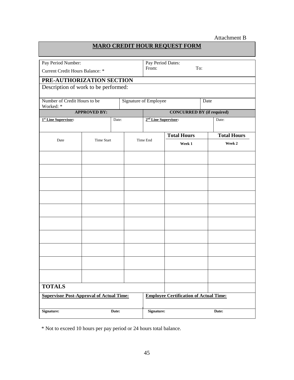# Attachment B

# **MARO CREDIT HOUR REQUEST FORM**

| Pay Period Number:                              |                     |            | Pay Period Dates:                |                                               |       |                    |  |
|-------------------------------------------------|---------------------|------------|----------------------------------|-----------------------------------------------|-------|--------------------|--|
| Current Credit Hours Balance: *                 |                     | From:      | To:                              |                                               |       |                    |  |
| PRE-AUTHORIZATION SECTION                       |                     |            |                                  |                                               |       |                    |  |
| Description of work to be performed:            |                     |            |                                  |                                               |       |                    |  |
| Number of Credit Hours to be<br>Worked: *       |                     |            |                                  | Signature of Employee<br>Date                 |       |                    |  |
|                                                 | <b>APPROVED BY:</b> |            |                                  | <b>CONCURRED BY</b> (if required)             |       |                    |  |
| <sup>1st</sup> Line Supervisor:                 |                     | Date:      | 2 <sup>nd</sup> Line Supervisor: |                                               |       | Date:              |  |
|                                                 |                     |            |                                  | <b>Total Hours</b>                            |       | <b>Total Hours</b> |  |
| Date                                            | <b>Time Start</b>   |            | Time End                         | Week 1                                        |       | Week 2             |  |
|                                                 |                     |            |                                  |                                               |       |                    |  |
|                                                 |                     |            |                                  |                                               |       |                    |  |
|                                                 |                     |            |                                  |                                               |       |                    |  |
|                                                 |                     |            |                                  |                                               |       |                    |  |
|                                                 |                     |            |                                  |                                               |       |                    |  |
|                                                 |                     |            |                                  |                                               |       |                    |  |
|                                                 |                     |            |                                  |                                               |       |                    |  |
|                                                 |                     |            |                                  |                                               |       |                    |  |
|                                                 |                     |            |                                  |                                               |       |                    |  |
|                                                 |                     |            |                                  |                                               |       |                    |  |
|                                                 |                     |            |                                  |                                               |       |                    |  |
| <b>TOTALS</b>                                   |                     |            |                                  |                                               |       |                    |  |
| <b>Supervisor Post-Approval of Actual Time:</b> |                     |            |                                  | <b>Employee Certification of Actual Time:</b> |       |                    |  |
| <b>Signature:</b><br>Date:                      |                     | Signature: |                                  |                                               | Date: |                    |  |

\* Not to exceed 10 hours per pay period or 24 hours total balance.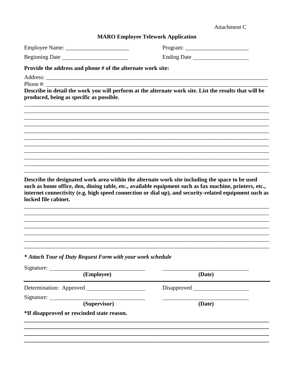| Attachment C |  |
|--------------|--|
|--------------|--|

#### **MARO Employee Telework Application**

 Ending Date

## Provide the address and phone # of the alternate work site:

Phone #: Describe in detail the work you will perform at the alternate work site. List the results that will be produced, being as specific as possible.

Describe the designated work area within the alternate work site including the space to be used such as home office, den, dining table, etc., available equipment such as fax machine, printers, etc., internet connectivity (e.g. high speed connection or dial up), and security-related equipment such as locked file cabinet.

## \* Attach Tour of Duty Request Form with your work schedule

| Signature:                                 |        |  |
|--------------------------------------------|--------|--|
| (Employee)                                 | (Date) |  |
|                                            |        |  |
| Signature: _____                           |        |  |
| (Supervisor)                               | (Date) |  |
| *If disapproved or rescinded state reason. |        |  |
|                                            |        |  |
|                                            |        |  |
|                                            |        |  |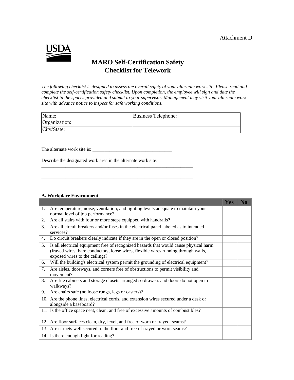#### Attachment D



# **MARO Self-Certification Safety Checklist for Telework**

*The following checklist is designed to assess the overall safety of your alternate work site. Please read and complete the self-certification safety checklist. Upon completion, the employee will sign and date the checklist in the spaces provided and submit to your supervisor. Management may visit your alternate work site with advance notice to inspect for safe working conditions.*

| Name:         | Business Telephone: |
|---------------|---------------------|
| Organization: |                     |
| City/State:   |                     |

The alternate work site is: \_\_\_\_\_\_\_\_\_\_\_\_\_\_\_\_\_\_\_\_\_\_\_\_\_\_\_\_\_\_\_\_\_

Describe the designated work area in the alternate work site:

\_\_\_\_\_\_\_\_\_\_\_\_\_\_\_\_\_\_\_\_\_\_\_\_\_\_\_\_\_\_\_\_\_\_\_\_\_\_\_\_\_\_\_\_\_\_\_\_\_\_\_\_\_\_\_\_\_\_\_\_\_\_\_

\_\_\_\_\_\_\_\_\_\_\_\_\_\_\_\_\_\_\_\_\_\_\_\_\_\_\_\_\_\_\_\_\_\_\_\_\_\_\_\_\_\_\_\_\_\_\_\_\_\_\_\_\_\_\_\_\_\_\_\_\_\_\_

#### **A. Workplace Environment**

|    |                                                                                                                                                                                                               | <b>Yes</b> | No |
|----|---------------------------------------------------------------------------------------------------------------------------------------------------------------------------------------------------------------|------------|----|
| 1. | Are temperature, noise, ventilation, and lighting levels adequate to maintain your<br>normal level of job performance?                                                                                        |            |    |
| 2. | Are all stairs with four or more steps equipped with handrails?                                                                                                                                               |            |    |
| 3. | Are all circuit breakers and/or fuses in the electrical panel labeled as to intended<br>services?                                                                                                             |            |    |
| 4. | Do circuit breakers clearly indicate if they are in the open or closed position?                                                                                                                              |            |    |
| 5. | Is all electrical equipment free of recognized hazards that would cause physical harm<br>(frayed wires, bare conductors, loose wires, flexible wires running through walls,<br>exposed wires to the ceiling)? |            |    |
| 6. | Will the building's electrical system permit the grounding of electrical equipment?                                                                                                                           |            |    |
| 7. | Are aisles, doorways, and corners free of obstructions to permit visibility and<br>movement?                                                                                                                  |            |    |
| 8. | Are file cabinets and storage closets arranged so drawers and doors do not open in<br>walkways?                                                                                                               |            |    |
| 9. | Are chairs safe (no loose rungs, legs or casters)?                                                                                                                                                            |            |    |
|    | 10. Are the phone lines, electrical cords, and extension wires secured under a desk or<br>alongside a baseboard?                                                                                              |            |    |
|    | 11. Is the office space neat, clean, and free of excessive amounts of combustibles?                                                                                                                           |            |    |
|    | 12. Are floor surfaces clean, dry, level, and free of worn or frayed seams?                                                                                                                                   |            |    |
|    | 13. Are carpets well secured to the floor and free of frayed or worn seams?                                                                                                                                   |            |    |
|    | 14. Is there enough light for reading?                                                                                                                                                                        |            |    |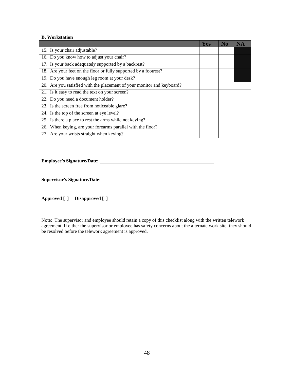#### **B. Workstation**

|                                                                        | Yes | No |  |
|------------------------------------------------------------------------|-----|----|--|
| 15. Is your chair adjustable?                                          |     |    |  |
| 16. Do you know how to adjust your chair?                              |     |    |  |
| 17. Is your back adequately supported by a backrest?                   |     |    |  |
| 18. Are your feet on the floor or fully supported by a footrest?       |     |    |  |
| 19. Do you have enough leg room at your desk?                          |     |    |  |
| 20. Are you satisfied with the placement of your monitor and keyboard? |     |    |  |
| 21. Is it easy to read the text on your screen?                        |     |    |  |
| 22. Do you need a document holder?                                     |     |    |  |
| 23. Is the screen free from noticeable glare?                          |     |    |  |
| 24. Is the top of the screen at eye level?                             |     |    |  |
| 25. Is there a place to rest the arms while not keying?                |     |    |  |
| 26. When keying, are your forearms parallel with the floor?            |     |    |  |
| 27. Are your wrists straight when keying?                              |     |    |  |

**Employee's Signature/Date:**

**Supervisor's Signature/Date:**

**Approved [ ] Disapproved [ ]** 

Note: The supervisor and employee should retain a copy of this checklist along with the written telework agreement. If either the supervisor or employee has safety concerns about the alternate work site, they should be resolved before the telework agreement is approved.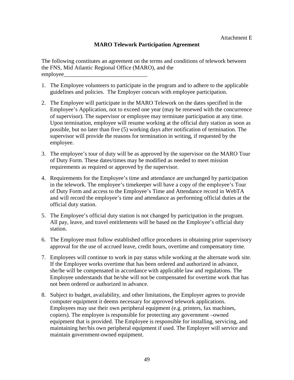# **MARO Telework Participation Agreement**

The following constitutes an agreement on the terms and conditions of telework between the FNS, Mid Atlantic Regional Office (MARO), and the employee\_

- 1. The Employee volunteers to participate in the program and to adhere to the applicable guidelines and policies. The Employer concurs with employee participation.
- 2. The Employee will participate in the MARO Telework on the dates specified in the Employee's Application, not to exceed one year (may be renewed with the concurrence of supervisor). The supervisor or employee may terminate participation at any time. Upon termination, employee will resume working at the official duty station as soon as possible, but no later than five (5) working days after notification of termination. The supervisor will provide the reasons for termination in writing, if requested by the employee.
- 3. The employee's tour of duty will be as approved by the supervisor on the MARO Tour of Duty Form. These dates/times may be modified as needed to meet mission requirements as required or approved by the supervisor.
- 4. Requirements for the Employee's time and attendance are unchanged by participation in the telework. The employee's timekeeper will have a copy of the employee's Tour of Duty Form and access to the Employee's Time and Attendance record in WebTA and will record the employee's time and attendance as performing official duties at the official duty station.
- 5. The Employee's official duty station is not changed by participation in the program. All pay, leave, and travel entitlements will be based on the Employee's official duty station.
- 6. The Employee must follow established office procedures in obtaining prior supervisory approval for the use of accrued leave, credit hours, overtime and compensatory time.
- 7. Employees will continue to work in pay status while working at the alternate work site. If the Employee works overtime that has been ordered and authorized in advance, she/he will be compensated in accordance with applicable law and regulations. The Employee understands that he/she will not be compensated for overtime work that has not been ordered or authorized in advance.
- 8. Subject to budget, availability, and other limitations, the Employer agrees to provide computer equipment it deems necessary for approved telework applications. Employees may use their own peripheral equipment (e.g. printers, fax machines, copiers). The employee is responsible for protecting any government –owned equipment that is provided. The Employee is responsible for installing, servicing, and maintaining her/his own peripheral equipment if used. The Employer will service and maintain government-owned equipment.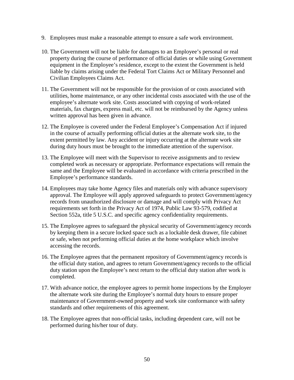- 9. Employees must make a reasonable attempt to ensure a safe work environment.
- 10. The Government will not be liable for damages to an Employee's personal or real property during the course of performance of official duties or while using Government equipment in the Employee's residence, except to the extent the Government is held liable by claims arising under the Federal Tort Claims Act or Military Personnel and Civilian Employees Claims Act.
- 11. The Government will not be responsible for the provision of or costs associated with utilities, home maintenance, or any other incidental costs associated with the use of the employee's alternate work site. Costs associated with copying of work-related materials, fax charges, express mail, etc. will not be reimbursed by the Agency unless written approval has been given in advance.
- 12. The Employee is covered under the Federal Employee's Compensation Act if injured in the course of actually performing official duties at the alternate work site, to the extent permitted by law. Any accident or injury occurring at the alternate work site during duty hours must be brought to the immediate attention of the supervisor.
- 13. The Employee will meet with the Supervisor to receive assignments and to review completed work as necessary or appropriate. Performance expectations will remain the same and the Employee will be evaluated in accordance with criteria prescribed in the Employee's performance standards.
- 14. Employees may take home Agency files and materials only with advance supervisory approval. The Employee will apply approved safeguards to protect Government/agency records from unauthorized disclosure or damage and will comply with Privacy Act requirements set forth in the Privacy Act of 1974, Public Law 93-579, codified at Section 552a, title 5 U.S.C. and specific agency confidentiality requirements.
- 15. The Employee agrees to safeguard the physical security of Government/agency records by keeping them in a secure locked space such as a lockable desk drawer, file cabinet or safe, when not performing official duties at the home workplace which involve accessing the records.
- 16. The Employee agrees that the permanent repository of Government/agency records is the official duty station, and agrees to return Government/agency records to the official duty station upon the Employee's next return to the official duty station after work is completed.
- 17. With advance notice, the employee agrees to permit home inspections by the Employer the alternate work site during the Employee's normal duty hours to ensure proper maintenance of Government-owned property and work site conformance with safety standards and other requirements of this agreement.
- 18. The Employee agrees that non-official tasks, including dependent care, will not be performed during his/her tour of duty.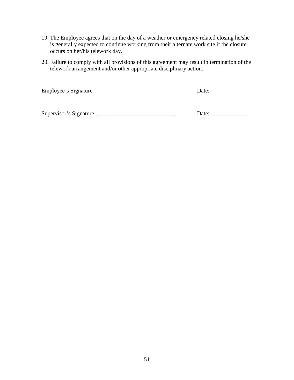- 19. The Employee agrees that on the day of a weather or emergency related closing he/she is generally expected to continue working from their alternate work site if the closure occurs on her/his telework day.
- 20. Failure to comply with all provisions of this agreement may result in termination of the telework arrangement and/or other appropriate disciplinary action.

Employee's Signature \_\_\_\_\_\_\_\_\_\_\_\_\_\_\_\_\_\_\_\_\_\_\_\_\_\_\_\_\_ Date: \_\_\_\_\_\_\_\_\_\_\_\_\_

Supervisor's Signature \_\_\_\_\_\_\_\_\_\_\_\_\_\_\_\_\_\_\_\_\_\_\_\_\_\_\_\_ Date: \_\_\_\_\_\_\_\_\_\_\_\_\_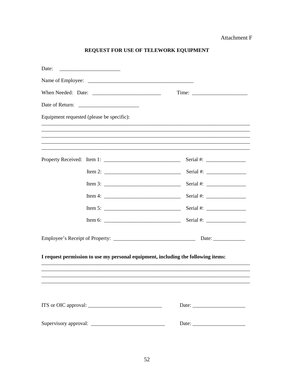## Attachment F

# REQUEST FOR USE OF TELEWORK EQUIPMENT

| Date: |                                           |                                                                                                                                                                                                                                                                               |
|-------|-------------------------------------------|-------------------------------------------------------------------------------------------------------------------------------------------------------------------------------------------------------------------------------------------------------------------------------|
|       |                                           |                                                                                                                                                                                                                                                                               |
|       |                                           |                                                                                                                                                                                                                                                                               |
|       |                                           |                                                                                                                                                                                                                                                                               |
|       | Equipment requested (please be specific): |                                                                                                                                                                                                                                                                               |
|       |                                           |                                                                                                                                                                                                                                                                               |
|       |                                           |                                                                                                                                                                                                                                                                               |
|       |                                           |                                                                                                                                                                                                                                                                               |
|       |                                           | Serial #: $\frac{1}{2}$                                                                                                                                                                                                                                                       |
|       |                                           |                                                                                                                                                                                                                                                                               |
|       |                                           |                                                                                                                                                                                                                                                                               |
|       |                                           | Serial #: $\frac{1}{2}$ = 0.000 $\frac{1}{2}$ = 0.000 $\frac{1}{2}$ = 0.000 $\frac{1}{2}$ = 0.000 $\frac{1}{2}$ = 0.000 $\frac{1}{2}$ = 0.000 $\frac{1}{2}$ = 0.000 $\frac{1}{2}$ = 0.000 $\frac{1}{2}$ = 0.000 $\frac{1}{2}$ = 0.000 $\frac{1}{2}$ = 0.000 $\frac{1}{2}$ = 0 |
|       |                                           | Serial #: $\frac{1}{2}$                                                                                                                                                                                                                                                       |
|       |                                           | Date: $\qquad \qquad$                                                                                                                                                                                                                                                         |
|       |                                           |                                                                                                                                                                                                                                                                               |
|       |                                           | I request permission to use my personal equipment, including the following items:                                                                                                                                                                                             |
|       |                                           |                                                                                                                                                                                                                                                                               |
|       |                                           |                                                                                                                                                                                                                                                                               |
|       |                                           |                                                                                                                                                                                                                                                                               |
|       |                                           | Date:                                                                                                                                                                                                                                                                         |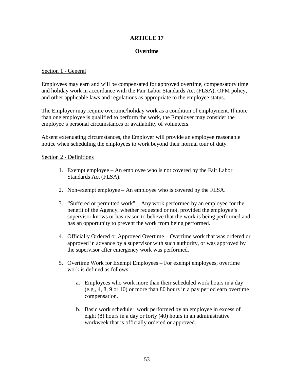# **ARTICLE 17**

# **Overtime**

## Section 1 - General

Employees may earn and will be compensated for approved overtime, compensatory time and holiday work in accordance with the Fair Labor Standards Act (FLSA), OPM policy, and other applicable laws and regulations as appropriate to the employee status.

The Employer may require overtime/holiday work as a condition of employment. If more than one employee is qualified to perform the work, the Employer may consider the employee's personal circumstances or availability of volunteers.

Absent extenuating circumstances, the Employer will provide an employee reasonable notice when scheduling the employees to work beyond their normal tour of duty.

### Section 2 - Definitions

- 1. Exempt employee An employee who is not covered by the Fair Labor Standards Act (FLSA).
- 2. Non-exempt employee An employee who is covered by the FLSA.
- 3. "Suffered or permitted work" Any work performed by an employee for the benefit of the Agency, whether requested or not, provided the employee's supervisor knows or has reason to believe that the work is being performed and has an opportunity to prevent the work from being performed.
- 4. Officially Ordered or Approved Overtime Overtime work that was ordered or approved in advance by a supervisor with such authority, or was approved by the supervisor after emergency work was performed.
- 5. Overtime Work for Exempt Employees For exempt employees, overtime work is defined as follows:
	- a. Employees who work more than their scheduled work hours in a day (e.g., 4, 8, 9 or 10) or more than 80 hours in a pay period earn overtime compensation.
	- b. Basic work schedule: work performed by an employee in excess of eight (8) hours in a day or forty (40) hours in an administrative workweek that is officially ordered or approved.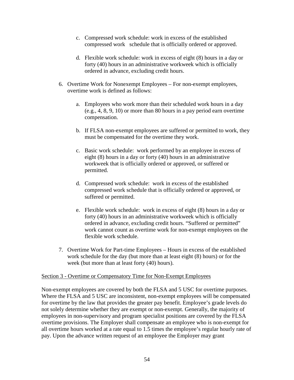- c. Compressed work schedule: work in excess of the established compressed work schedule that is officially ordered or approved.
- d. Flexible work schedule: work in excess of eight (8) hours in a day or forty (40) hours in an administrative workweek which is officially ordered in advance, excluding credit hours.
- 6. Overtime Work for Nonexempt Employees For non-exempt employees, overtime work is defined as follows:
	- a. Employees who work more than their scheduled work hours in a day (e.g., 4, 8, 9, 10) or more than 80 hours in a pay period earn overtime compensation.
	- b. If FLSA non-exempt employees are suffered or permitted to work, they must be compensated for the overtime they work.
	- c. Basic work schedule: work performed by an employee in excess of eight (8) hours in a day or forty (40) hours in an administrative workweek that is officially ordered or approved, or suffered or permitted.
	- d. Compressed work schedule: work in excess of the established compressed work schedule that is officially ordered or approved, or suffered or permitted.
	- e. Flexible work schedule: work in excess of eight (8) hours in a day or forty (40) hours in an administrative workweek which is officially ordered in advance, excluding credit hours. "Suffered or permitted" work cannot count as overtime work for non-exempt employees on the flexible work schedule.
- 7. Overtime Work for Part-time Employees Hours in excess of the established work schedule for the day (but more than at least eight (8) hours) or for the week (but more than at least forty (40) hours).

# Section 3 - Overtime or Compensatory Time for Non-Exempt Employees

Non-exempt employees are covered by both the FLSA and 5 USC for overtime purposes. Where the FLSA and 5 USC are inconsistent, non-exempt employees will be compensated for overtime by the law that provides the greater pay benefit. Employee's grade levels do not solely determine whether they are exempt or non-exempt. Generally, the majority of employees in non-supervisory and program specialist positions are covered by the FLSA overtime provisions. The Employer shall compensate an employee who is non-exempt for all overtime hours worked at a rate equal to 1.5 times the employee's regular hourly rate of pay. Upon the advance written request of an employee the Employer may grant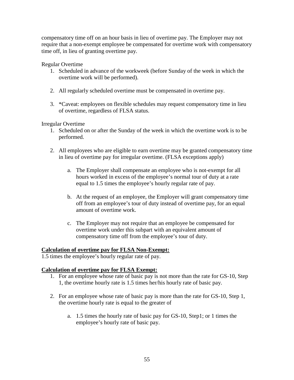compensatory time off on an hour basis in lieu of overtime pay. The Employer may not require that a non-exempt employee be compensated for overtime work with compensatory time off, in lieu of granting overtime pay.

Regular Overtime

- 1. Scheduled in advance of the workweek (before Sunday of the week in which the overtime work will be performed).
- 2. All regularly scheduled overtime must be compensated in overtime pay.
- 3. \*Caveat: employees on flexible schedules may request compensatory time in lieu of overtime, regardless of FLSA status.

Irregular Overtime

- 1. Scheduled on or after the Sunday of the week in which the overtime work is to be performed.
- 2. All employees who are eligible to earn overtime may be granted compensatory time in lieu of overtime pay for irregular overtime. (FLSA exceptions apply)
	- a. The Employer shall compensate an employee who is not-exempt for all hours worked in excess of the employee's normal tour of duty at a rate equal to 1.5 times the employee's hourly regular rate of pay.
	- b. At the request of an employee, the Employer will grant compensatory time off from an employee's tour of duty instead of overtime pay, for an equal amount of overtime work.
	- c. The Employer may not require that an employee be compensated for overtime work under this subpart with an equivalent amount of compensatory time off from the employee's tour of duty.

# **Calculation of overtime pay for FLSA Non-Exempt:**

1.5 times the employee's hourly regular rate of pay.

# **Calculation of overtime pay for FLSA Exempt:**

- 1. For an employee whose rate of basic pay is not more than the rate for GS-10, Step 1, the overtime hourly rate is 1.5 times her/his hourly rate of basic pay.
- 2. For an employee whose rate of basic pay is more than the rate for GS-10, Step 1, the overtime hourly rate is equal to the greater of
	- a. 1.5 times the hourly rate of basic pay for GS-10, Step1; or 1 times the employee's hourly rate of basic pay.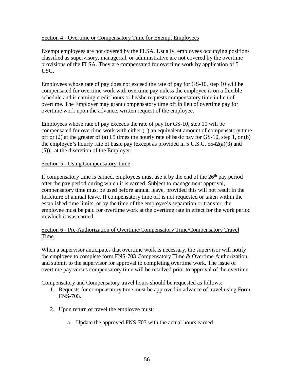## Section 4 - Overtime or Compensatory Time for Exempt Employees

Exempt employees are not covered by the FLSA. Usually, employees occupying positions classified as supervisory, managerial, or administrative are not covered by the overtime provisions of the FLSA. They are compensated for overtime work by application of 5 USC.

Employees whose rate of pay does not exceed the rate of pay for GS-10, step 10 will be compensated for overtime work with overtime pay unless the employee is on a flexible schedule and is earning credit hours or he/she requests compensatory time in lieu of overtime. The Employer may grant compensatory time off in lieu of overtime pay for overtime work upon the advance, written request of the employee.

Employees whose rate of pay exceeds the rate of pay for GS-10, step 10 will be compensated for overtime work with either (1) an equivalent amount of compensatory time off or (2) at the greater of (a) l.5 times the hourly rate of basic pay for GS-10, step 1, or (b) the employee's hourly rate of basic pay (except as provided in 5 U.S.C. 5542(a)(3) and (5)), at the discretion of the Employer.

## Section 5 - Using Compensatory Time

If compensatory time is earned, employees must use it by the end of the  $26<sup>th</sup>$  pay period after the pay period during which it is earned. Subject to management approval, compensatory time must be used before annual leave, provided this will not result in the forfeiture of annual leave. If compensatory time off is not requested or taken within the established time limits, or by the time of the employee's separation or transfer, the employee must be paid for overtime work at the overtime rate in effect for the work period in which it was earned.

## Section 6 - Pre-Authorization of Overtime/Compensatory Time/Compensatory Travel Time

When a supervisor anticipates that overtime work is necessary, the supervisor will notify the employee to complete form FNS-703 Compensatory Time & Overtime Authorization, and submit to the supervisor for approval to completing overtime work. The issue of overtime pay versus compensatory time will be resolved prior to approval of the overtime.

Compensatory and Compensatory travel hours should be requested as follows:

- 1. Requests for compensatory time must be approved in advance of travel using Form FNS-703.
- 2. Upon return of travel the employee must:
	- a. Update the approved FNS-703 with the actual hours earned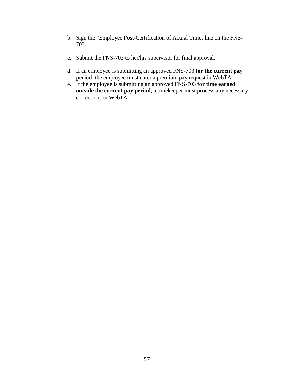- b. Sign the "Employee Post-Certification of Actual Time: line on the FNS-703.
- c. Submit the FNS-703 to her/his supervisor for final approval.
- d. If an employee is submitting an approved FNS-703 **for the current pay period**, the employee must enter a premium pay request in WebTA.
- e. If the employee is submitting an approved FNS-703 **for time earned outside the current pay period**, a timekeeper must process any necessary corrections in WebTA.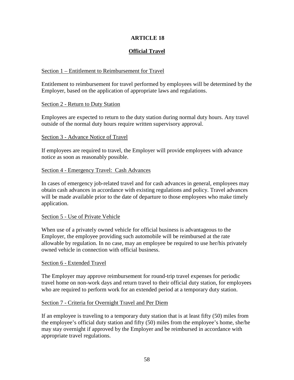# **ARTICLE 18**

# **Official Travel**

## Section 1 – Entitlement to Reimbursement for Travel

Entitlement to reimbursement for travel performed by employees will be determined by the Employer, based on the application of appropriate laws and regulations.

#### Section 2 - Return to Duty Station

Employees are expected to return to the duty station during normal duty hours. Any travel outside of the normal duty hours require written supervisory approval.

### Section 3 - Advance Notice of Travel

If employees are required to travel, the Employer will provide employees with advance notice as soon as reasonably possible.

### Section 4 - Emergency Travel: Cash Advances

In cases of emergency job-related travel and for cash advances in general, employees may obtain cash advances in accordance with existing regulations and policy. Travel advances will be made available prior to the date of departure to those employees who make timely application.

### Section 5 - Use of Private Vehicle

When use of a privately owned vehicle for official business is advantageous to the Employer, the employee providing such automobile will be reimbursed at the rate allowable by regulation. In no case, may an employee be required to use her/his privately owned vehicle in connection with official business.

### Section 6 - Extended Travel

The Employer may approve reimbursement for round-trip travel expenses for periodic travel home on non-work days and return travel to their official duty station, for employees who are required to perform work for an extended period at a temporary duty station.

### Section 7 - Criteria for Overnight Travel and Per Diem

If an employee is traveling to a temporary duty station that is at least fifty (50) miles from the employee's official duty station and fifty (50) miles from the employee's home, she/he may stay overnight if approved by the Employer and be reimbursed in accordance with appropriate travel regulations.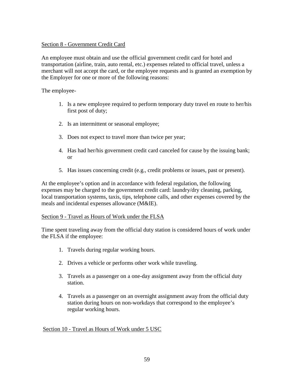## Section 8 - Government Credit Card

An employee must obtain and use the official government credit card for hotel and transportation (airline, train, auto rental, etc.) expenses related to official travel, unless a merchant will not accept the card, or the employee requests and is granted an exemption by the Employer for one or more of the following reasons:

The employee-

- 1. Is a new employee required to perform temporary duty travel en route to her/his first post of duty;
- 2. Is an intermittent or seasonal employee;
- 3. Does not expect to travel more than twice per year;
- 4. Has had her/his government credit card canceled for cause by the issuing bank; or
- 5. Has issues concerning credit (e.g., credit problems or issues, past or present).

At the employee's option and in accordance with federal regulation, the following expenses may be charged to the government credit card: laundry/dry cleaning, parking, local transportation systems, taxis, tips, telephone calls, and other expenses covered by the meals and incidental expenses allowance (M&IE).

### Section 9 - Travel as Hours of Work under the FLSA

Time spent traveling away from the official duty station is considered hours of work under the FLSA if the employee:

- 1. Travels during regular working hours.
- 2. Drives a vehicle or performs other work while traveling.
- 3. Travels as a passenger on a one-day assignment away from the official duty station.
- 4. Travels as a passenger on an overnight assignment away from the official duty station during hours on non-workdays that correspond to the employee's regular working hours.

### Section 10 - Travel as Hours of Work under 5 USC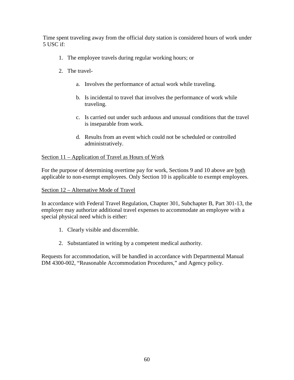Time spent traveling away from the official duty station is considered hours of work under 5 USC if:

- 1. The employee travels during regular working hours; or
- 2. The travel
	- a. Involves the performance of actual work while traveling.
	- b. Is incidental to travel that involves the performance of work while traveling.
	- c. Is carried out under such arduous and unusual conditions that the travel is inseparable from work.
	- d. Results from an event which could not be scheduled or controlled administratively.

## Section 11 – Application of Travel as Hours of Work

For the purpose of determining overtime pay for work, Sections 9 and 10 above are both applicable to non-exempt employees. Only Section 10 is applicable to exempt employees.

## Section 12 – Alternative Mode of Travel

In accordance with Federal Travel Regulation, Chapter 301, Subchapter B, Part 301-13, the employer may authorize additional travel expenses to accommodate an employee with a special physical need which is either:

- 1. Clearly visible and discernible.
- 2. Substantiated in writing by a competent medical authority.

Requests for accommodation, will be handled in accordance with Departmental Manual DM 4300-002, "Reasonable Accommodation Procedures," and Agency policy.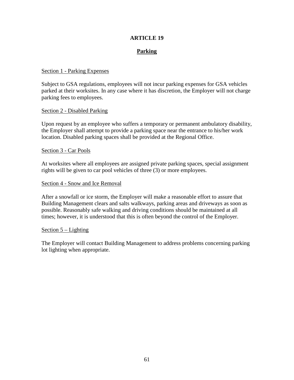## **ARTICLE 19**

## **Parking**

#### Section 1 - Parking Expenses

Subject to GSA regulations, employees will not incur parking expenses for GSA vehicles parked at their worksites. In any case where it has discretion, the Employer will not charge parking fees to employees.

#### Section 2 - Disabled Parking

Upon request by an employee who suffers a temporary or permanent ambulatory disability, the Employer shall attempt to provide a parking space near the entrance to his/her work location. Disabled parking spaces shall be provided at the Regional Office.

#### Section 3 - Car Pools

At worksites where all employees are assigned private parking spaces, special assignment rights will be given to car pool vehicles of three (3) or more employees.

#### Section 4 - Snow and Ice Removal

After a snowfall or ice storm, the Employer will make a reasonable effort to assure that Building Management clears and salts walkways, parking areas and driveways as soon as possible. Reasonably safe walking and driving conditions should be maintained at all times; however, it is understood that this is often beyond the control of the Employer.

#### Section 5 – Lighting

The Employer will contact Building Management to address problems concerning parking lot lighting when appropriate.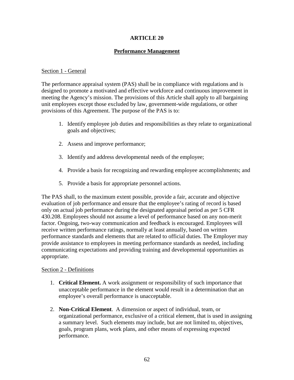# **ARTICLE 20**

# **Performance Management**

## Section 1 - General

The performance appraisal system (PAS) shall be in compliance with regulations and is designed to promote a motivated and effective workforce and continuous improvement in meeting the Agency's mission. The provisions of this Article shall apply to all bargaining unit employees except those excluded by law, government-wide regulations, or other provisions of this Agreement. The purpose of the PAS is to:

- 1. Identify employee job duties and responsibilities as they relate to organizational goals and objectives;
- 2. Assess and improve performance;
- 3. Identify and address developmental needs of the employee;
- 4. Provide a basis for recognizing and rewarding employee accomplishments; and
- 5. Provide a basis for appropriate personnel actions.

The PAS shall, to the maximum extent possible, provide a fair, accurate and objective evaluation of job performance and ensure that the employee's rating of record is based only on actual job performance during the designated appraisal period as per 5 CFR 430.208. Employees should not assume a level of performance based on any non-merit factor. Ongoing, two-way communication and feedback is encouraged. Employees will receive written performance ratings, normally at least annually, based on written performance standards and elements that are related to official duties. The Employer may provide assistance to employees in meeting performance standards as needed, including communicating expectations and providing training and developmental opportunities as appropriate.

# Section 2 - Definitions

- 1. **Critical Element.** A work assignment or responsibility of such importance that unacceptable performance in the element would result in a determination that an employee's overall performance is unacceptable.
- 2. **Non-Critical Element**. A dimension or aspect of individual, team, or organizational performance, exclusive of a critical element, that is used in assigning a summary level. Such elements may include, but are not limited to, objectives, goals, program plans, work plans, and other means of expressing expected performance.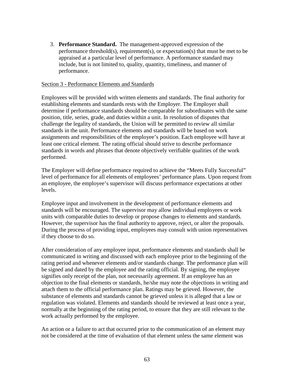3. **Performance Standard.** The management-approved expression of the performance threshold(s), requirement(s), or expectation(s) that must be met to be appraised at a particular level of performance. A performance standard may include, but is not limited to, quality, quantity, timeliness, and manner of performance.

#### Section 3 - Performance Elements and Standards

Employees will be provided with written elements and standards. The final authority for establishing elements and standards rests with the Employer. The Employer shall determine if performance standards should be comparable for subordinates with the same position, title, series, grade, and duties within a unit. In resolution of disputes that challenge the legality of standards, the Union will be permitted to review all similar standards in the unit. Performance elements and standards will be based on work assignments and responsibilities of the employee's position. Each employee will have at least one critical element. The rating official should strive to describe performance standards in words and phrases that denote objectively verifiable qualities of the work performed.

The Employer will define performance required to achieve the "Meets Fully Successful" level of performance for all elements of employees' performance plans. Upon request from an employee, the employee's supervisor will discuss performance expectations at other levels.

Employee input and involvement in the development of performance elements and standards will be encouraged. The supervisor may allow individual employees or work units with comparable duties to develop or propose changes to elements and standards. However, the supervisor has the final authority to approve, reject, or alter the proposals. During the process of providing input, employees may consult with union representatives if they choose to do so.

After consideration of any employee input, performance elements and standards shall be communicated in writing and discussed with each employee prior to the beginning of the rating period and whenever elements and/or standards change. The performance plan will be signed and dated by the employee and the rating official. By signing, the employee signifies only receipt of the plan, not necessarily agreement. If an employee has an objection to the final elements or standards, he/she may note the objections in writing and attach them to the official performance plan. Ratings may be grieved. However, the substance of elements and standards cannot be grieved unless it is alleged that a law or regulation was violated. Elements and standards should be reviewed at least once a year, normally at the beginning of the rating period, to ensure that they are still relevant to the work actually performed by the employee.

An action or a failure to act that occurred prior to the communication of an element may not be considered at the time of evaluation of that element unless the same element was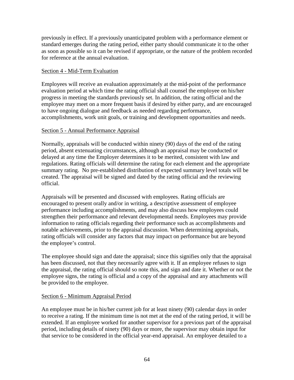previously in effect. If a previously unanticipated problem with a performance element or standard emerges during the rating period, either party should communicate it to the other as soon as possible so it can be revised if appropriate, or the nature of the problem recorded for reference at the annual evaluation.

# Section 4 - Mid-Term Evaluation

Employees will receive an evaluation approximately at the mid-point of the performance evaluation period at which time the rating official shall counsel the employee on his/her progress in meeting the standards previously set. In addition, the rating official and the employee may meet on a more frequent basis if desired by either party, and are encouraged to have ongoing dialogue and feedback as needed regarding performance, accomplishments, work unit goals, or training and development opportunities and needs.

## Section 5 - Annual Performance Appraisal

Normally, appraisals will be conducted within ninety (90) days of the end of the rating period, absent extenuating circumstances, although an appraisal may be conducted or delayed at any time the Employer determines it to be merited, consistent with law and regulations. Rating officials will determine the rating for each element and the appropriate summary rating. No pre-established distribution of expected summary level totals will be created. The appraisal will be signed and dated by the rating official and the reviewing official.

Appraisals will be presented and discussed with employees. Rating officials are encouraged to present orally and/or in writing, a descriptive assessment of employee performance including accomplishments, and may also discuss how employees could strengthen their performance and relevant developmental needs. Employees may provide information to rating officials regarding their performance such as accomplishments and notable achievements, prior to the appraisal discussion. When determining appraisals, rating officials will consider any factors that may impact on performance but are beyond the employee's control.

The employee should sign and date the appraisal; since this signifies only that the appraisal has been discussed, not that they necessarily agree with it. If an employee refuses to sign the appraisal, the rating official should so note this, and sign and date it. Whether or not the employee signs, the rating is official and a copy of the appraisal and any attachments will be provided to the employee.

# Section 6 - Minimum Appraisal Period

An employee must be in his/her current job for at least ninety (90) calendar days in order to receive a rating. If the minimum time is not met at the end of the rating period, it will be extended. If an employee worked for another supervisor for a previous part of the appraisal period, including details of ninety (90) days or more, the supervisor may obtain input for that service to be considered in the official year-end appraisal. An employee detailed to a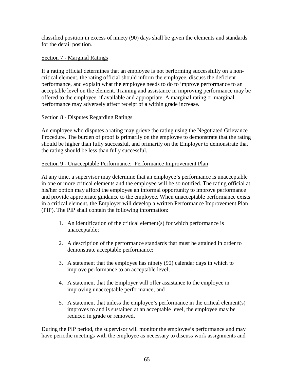classified position in excess of ninety (90) days shall be given the elements and standards for the detail position.

# Section 7 - Marginal Ratings

If a rating official determines that an employee is not performing successfully on a noncritical element, the rating official should inform the employee, discuss the deficient performance, and explain what the employee needs to do to improve performance to an acceptable level on the element. Training and assistance in improving performance may be offered to the employee, if available and appropriate. A marginal rating or marginal performance may adversely affect receipt of a within grade increase.

## Section 8 - Disputes Regarding Ratings

An employee who disputes a rating may grieve the rating using the Negotiated Grievance Procedure. The burden of proof is primarily on the employee to demonstrate that the rating should be higher than fully successful, and primarily on the Employer to demonstrate that the rating should be less than fully successful.

## Section 9 - Unacceptable Performance: Performance Improvement Plan

At any time, a supervisor may determine that an employee's performance is unacceptable in one or more critical elements and the employee will be so notified. The rating official at his/her option may afford the employee an informal opportunity to improve performance and provide appropriate guidance to the employee. When unacceptable performance exists in a critical element, the Employer will develop a written Performance Improvement Plan (PIP). The PIP shall contain the following information:

- 1. An identification of the critical element(s) for which performance is unacceptable;
- 2. A description of the performance standards that must be attained in order to demonstrate acceptable performance;
- 3. A statement that the employee has ninety (90) calendar days in which to improve performance to an acceptable level;
- 4. A statement that the Employer will offer assistance to the employee in improving unacceptable performance; and
- 5. A statement that unless the employee's performance in the critical element(s) improves to and is sustained at an acceptable level, the employee may be reduced in grade or removed.

During the PIP period, the supervisor will monitor the employee's performance and may have periodic meetings with the employee as necessary to discuss work assignments and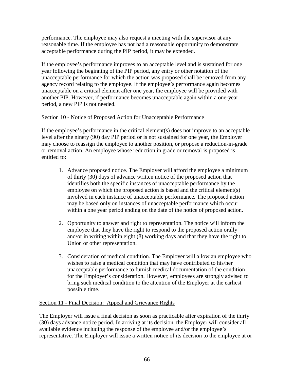performance. The employee may also request a meeting with the supervisor at any reasonable time. If the employee has not had a reasonable opportunity to demonstrate acceptable performance during the PIP period, it may be extended.

If the employee's performance improves to an acceptable level and is sustained for one year following the beginning of the PIP period, any entry or other notation of the unacceptable performance for which the action was proposed shall be removed from any agency record relating to the employee. If the employee's performance again becomes unacceptable on a critical element after one year, the employee will be provided with another PIP. However, if performance becomes unacceptable again within a one-year period, a new PIP is not needed.

# Section 10 - Notice of Proposed Action for Unacceptable Performance

If the employee's performance in the critical element(s) does not improve to an acceptable level after the ninety (90) day PIP period or is not sustained for one year, the Employer may choose to reassign the employee to another position, or propose a reduction-in-grade or removal action. An employee whose reduction in grade or removal is proposed is entitled to:

- 1. Advance proposed notice. The Employer will afford the employee a minimum of thirty (30) days of advance written notice of the proposed action that identifies both the specific instances of unacceptable performance by the employee on which the proposed action is based and the critical element(s) involved in each instance of unacceptable performance. The proposed action may be based only on instances of unacceptable performance which occur within a one year period ending on the date of the notice of proposed action.
- 2. Opportunity to answer and right to representation. The notice will inform the employee that they have the right to respond to the proposed action orally and/or in writing within eight (8) working days and that they have the right to Union or other representation.
- 3. Consideration of medical condition. The Employer will allow an employee who wishes to raise a medical condition that may have contributed to his/her unacceptable performance to furnish medical documentation of the condition for the Employer's consideration. However, employees are strongly advised to bring such medical condition to the attention of the Employer at the earliest possible time.

# Section 11 - Final Decision: Appeal and Grievance Rights

The Employer will issue a final decision as soon as practicable after expiration of the thirty (30) days advance notice period. In arriving at its decision, the Employer will consider all available evidence including the response of the employee and/or the employee's representative. The Employer will issue a written notice of its decision to the employee at or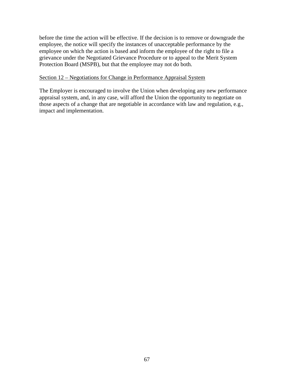before the time the action will be effective. If the decision is to remove or downgrade the employee, the notice will specify the instances of unacceptable performance by the employee on which the action is based and inform the employee of the right to file a grievance under the Negotiated Grievance Procedure or to appeal to the Merit System Protection Board (MSPB), but that the employee may not do both.

### Section 12 – Negotiations for Change in Performance Appraisal System

The Employer is encouraged to involve the Union when developing any new performance appraisal system, and, in any case, will afford the Union the opportunity to negotiate on those aspects of a change that are negotiable in accordance with law and regulation, e.g., impact and implementation.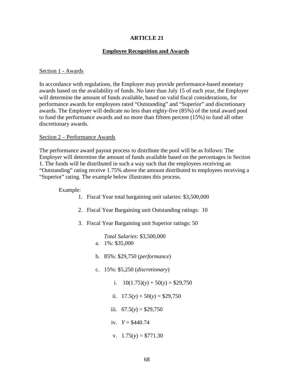## **ARTICLE 21**

### **Employee Recognition and Awards**

#### Section 1 - Awards

In accordance with regulations, the Employer may provide performance-based monetary awards based on the availability of funds. No later than July 15 of each year, the Employer will determine the amount of funds available, based on valid fiscal considerations, for performance awards for employees rated "Outstanding" and "Superior" and discretionary awards. The Employer will dedicate no less than eighty-five (85%) of the total award pool to fund the performance awards and no more than fifteen percent (15%) to fund all other discretionary awards.

#### Section 2 – Performance Awards

The performance award payout process to distribute the pool will be as follows: The Employer will determine the amount of funds available based on the percentages in Section 1. The funds will be distributed in such a way such that the employees receiving an "Outstanding" rating receive 1.75% above the amount distributed to employees receiving a "Superior" rating. The example below illustrates this process.

#### Example:

- 1. Fiscal Year total bargaining unit salaries: \$3,500,000
- 2. Fiscal Year Bargaining unit Outstanding ratings: 10
- 3. Fiscal Year Bargaining unit Superior ratings: 50

*Total Salaries*: \$3,500,000 a. 1%: \$35,000

- b. 85%: \$29,750 (*performance*)
- c. 15%: \$5,250 (*discretionary*)
	- i.  $10(1.75)(y) + 50(y) = $29,750$
	- ii.  $17.5(y) + 50(y) = $29,750$
	- iii.  $67.5(y) = $29,750$
	- iv.  $Y = $440.74$
	- v.  $1.75(y) = $771.30$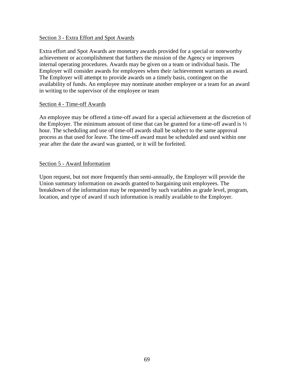#### Section 3 - Extra Effort and Spot Awards

Extra effort and Spot Awards are monetary awards provided for a special or noteworthy achievement or accomplishment that furthers the mission of the Agency or improves internal operating procedures. Awards may be given on a team or individual basis. The Employer will consider awards for employees when their /achievement warrants an award. The Employer will attempt to provide awards on a timely basis, contingent on the availability of funds. An employee may nominate another employee or a team for an award in writing to the supervisor of the employee or team

#### Section 4 - Time-off Awards

An employee may be offered a time-off award for a special achievement at the discretion of the Employer. The minimum amount of time that can be granted for a time-off award is  $\frac{1}{2}$ hour. The scheduling and use of time-off awards shall be subject to the same approval process as that used for leave. The time-off award must be scheduled and used within one year after the date the award was granted, or it will be forfeited.

### Section 5 - Award Information

Upon request, but not more frequently than semi-annually, the Employer will provide the Union summary information on awards granted to bargaining unit employees. The breakdown of the information may be requested by such variables as grade level, program, location, and type of award if such information is readily available to the Employer.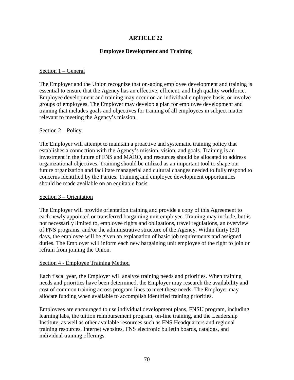## **Employee Development and Training**

#### Section 1 – General

The Employer and the Union recognize that on-going employee development and training is essential to ensure that the Agency has an effective, efficient, and high quality workforce. Employee development and training may occur on an individual employee basis, or involve groups of employees. The Employer may develop a plan for employee development and training that includes goals and objectives for training of all employees in subject matter relevant to meeting the Agency's mission.

#### Section 2 – Policy

The Employer will attempt to maintain a proactive and systematic training policy that establishes a connection with the Agency's mission, vision, and goals. Training is an investment in the future of FNS and MARO, and resources should be allocated to address organizational objectives. Training should be utilized as an important tool to shape our future organization and facilitate managerial and cultural changes needed to fully respond to concerns identified by the Parties. Training and employee development opportunities should be made available on an equitable basis.

### Section 3 – Orientation

The Employer will provide orientation training and provide a copy of this Agreement to each newly appointed or transferred bargaining unit employee. Training may include, but is not necessarily limited to, employee rights and obligations, travel regulations, an overview of FNS programs, and/or the administrative structure of the Agency. Within thirty (30) days, the employee will be given an explanation of basic job requirements and assigned duties. The Employer will inform each new bargaining unit employee of the right to join or refrain from joining the Union.

### Section 4 - Employee Training Method

Each fiscal year, the Employer will analyze training needs and priorities. When training needs and priorities have been determined, the Employer may research the availability and cost of common training across program lines to meet these needs. The Employer may allocate funding when available to accomplish identified training priorities.

Employees are encouraged to use individual development plans, FNSU program, including learning labs, the tuition reimbursement program, on-line training, and the Leadership Institute, as well as other available resources such as FNS Headquarters and regional training resources, Internet websites, FNS electronic bulletin boards, catalogs, and individual training offerings.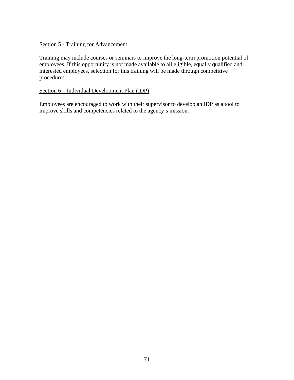# Section 5 - Training for Advancement

Training may include courses or seminars to improve the long-term promotion potential of employees. If this opportunity is not made available to all eligible, equally qualified and interested employees, selection for this training will be made through competitive procedures.

# Section 6 – Individual Development Plan (IDP)

Employees are encouraged to work with their supervisor to develop an IDP as a tool to improve skills and competencies related to the agency's mission.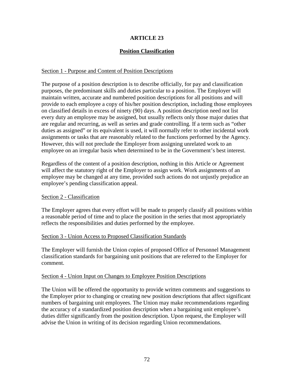# **Position Classification**

### Section 1 - Purpose and Content of Position Descriptions

The purpose of a position description is to describe officially, for pay and classification purposes, the predominant skills and duties particular to a position. The Employer will maintain written, accurate and numbered position descriptions for all positions and will provide to each employee a copy of his/her position description, including those employees on classified details in excess of ninety (90) days. A position description need not list every duty an employee may be assigned, but usually reflects only those major duties that are regular and recurring, as well as series and grade controlling. If a term such as "other duties as assigned" or its equivalent is used, it will normally refer to other incidental work assignments or tasks that are reasonably related to the functions performed by the Agency. However, this will not preclude the Employer from assigning unrelated work to an employee on an irregular basis when determined to be in the Government's best interest.

Regardless of the content of a position description, nothing in this Article or Agreement will affect the statutory right of the Employer to assign work. Work assignments of an employee may be changed at any time, provided such actions do not unjustly prejudice an employee's pending classification appeal.

### Section 2 - Classification

The Employer agrees that every effort will be made to properly classify all positions within a reasonable period of time and to place the position in the series that most appropriately reflects the responsibilities and duties performed by the employee.

### Section 3 - Union Access to Proposed Classification Standards

The Employer will furnish the Union copies of proposed Office of Personnel Management classification standards for bargaining unit positions that are referred to the Employer for comment.

### Section 4 - Union Input on Changes to Employee Position Descriptions

The Union will be offered the opportunity to provide written comments and suggestions to the Employer prior to changing or creating new position descriptions that affect significant numbers of bargaining unit employees. The Union may make recommendations regarding the accuracy of a standardized position description when a bargaining unit employee's duties differ significantly from the position description. Upon request, the Employer will advise the Union in writing of its decision regarding Union recommendations.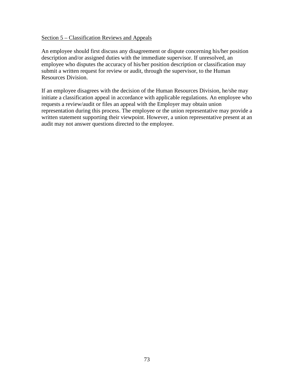#### Section 5 – Classification Reviews and Appeals

An employee should first discuss any disagreement or dispute concerning his/her position description and/or assigned duties with the immediate supervisor. If unresolved, an employee who disputes the accuracy of his/her position description or classification may submit a written request for review or audit, through the supervisor, to the Human Resources Division.

If an employee disagrees with the decision of the Human Resources Division, he/she may initiate a classification appeal in accordance with applicable regulations. An employee who requests a review/audit or files an appeal with the Employer may obtain union representation during this process. The employee or the union representative may provide a written statement supporting their viewpoint. However, a union representative present at an audit may not answer questions directed to the employee.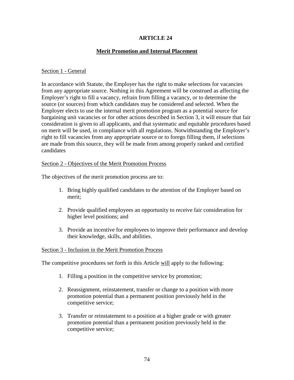# **Merit Promotion and Internal Placement**

### Section 1 - General

In accordance with Statute, the Employer has the right to make selections for vacancies from any appropriate source. Nothing in this Agreement will be construed as affecting the Employer's right to fill a vacancy, refrain from filling a vacancy, or to determine the source (or sources) from which candidates may be considered and selected. When the Employer elects to use the internal merit promotion program as a potential source for bargaining unit vacancies or for other actions described in Section 3, it will ensure that fair consideration is given to all applicants, and that systematic and equitable procedures based on merit will be used, in compliance with all regulations. Notwithstanding the Employer's right to fill vacancies from any appropriate source or to forego filling them, if selections are made from this source, they will be made from among properly ranked and certified candidates

### Section 2 - Objectives of the Merit Promotion Process

The objectives of the merit promotion process are to:

- 1. Bring highly qualified candidates to the attention of the Employer based on merit;
- 2. Provide qualified employees an opportunity to receive fair consideration for higher level positions; and
- 3. Provide an incentive for employees to improve their performance and develop their knowledge, skills, and abilities.

### Section 3 - Inclusion in the Merit Promotion Process

The competitive procedures set forth in this Article will apply to the following:

- 1. Filling a position in the competitive service by promotion;
- 2. Reassignment, reinstatement, transfer or change to a position with more promotion potential than a permanent position previously held in the competitive service;
- 3. Transfer or reinstatement to a position at a higher grade or with greater promotion potential than a permanent position previously held in the competitive service;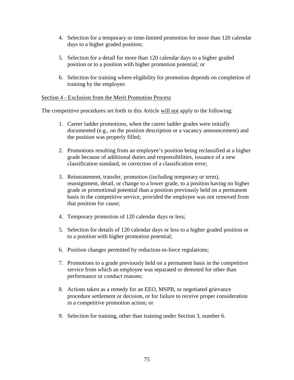- 4. Selection for a temporary or time-limited promotion for more than 120 calendar days to a higher graded position;
- 5. Selection for a detail for more than 120 calendar days to a higher graded position or to a position with higher promotion potential; or
- 6. Selection for training where eligibility for promotion depends on completion of training by the employee.

### Section 4 - Exclusion from the Merit Promotion Process

The competitive procedures set forth in this Article will not apply to the following:

- 1. Career ladder promotions, when the career ladder grades were initially documented (e.g., on the position description or a vacancy announcement) and the position was properly filled;
- 2. Promotions resulting from an employee's position being reclassified at a higher grade because of additional duties and responsibilities, issuance of a new classification standard, or correction of a classification error;
- 3. Reinstatement, transfer, promotion (including temporary or term), reassignment, detail, or change to a lower grade, to a position having no higher grade or promotional potential than a position previously held on a permanent basis in the competitive service, provided the employee was not removed from that position for cause;
- 4. Temporary promotion of 120 calendar days or less;
- 5. Selection for details of 120 calendar days or less to a higher graded position or to a position with higher promotion potential;
- 6. Position changes permitted by reduction-in-force regulations;
- 7. Promotions to a grade previously held on a permanent basis in the competitive service from which an employee was separated or demoted for other than performance or conduct reasons;
- 8. Actions taken as a remedy for an EEO, MSPB, or negotiated grievance procedure settlement or decision, or for failure to receive proper consideration in a competitive promotion action; or
- 9. Selection for training, other than training under Section 3, number 6.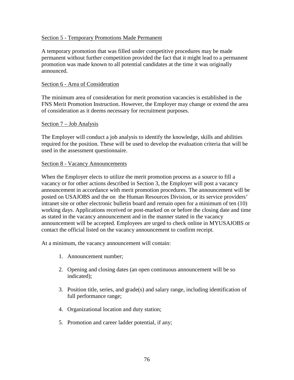#### Section 5 - Temporary Promotions Made Permanent

A temporary promotion that was filled under competitive procedures may be made permanent without further competition provided the fact that it might lead to a permanent promotion was made known to all potential candidates at the time it was originally announced.

#### Section 6 - Area of Consideration

The minimum area of consideration for merit promotion vacancies is established in the FNS Merit Promotion Instruction. However, the Employer may change or extend the area of consideration as it deems necessary for recruitment purposes.

#### Section 7 – Job Analysis

The Employer will conduct a job analysis to identify the knowledge, skills and abilities required for the position. These will be used to develop the evaluation criteria that will be used in the assessment questionnaire.

#### Section 8 - Vacancy Announcements

When the Employer elects to utilize the merit promotion process as a source to fill a vacancy or for other actions described in Section 3, the Employer will post a vacancy announcement in accordance with merit promotion procedures. The announcement will be posted on USAJOBS and the on the Human Resources Division, or its service providers' intranet site or other electronic bulletin board and remain open for a minimum of ten (10) working days. Applications received or post-marked on or before the closing date and time as stated in the vacancy announcement and in the manner stated in the vacancy announcement will be accepted. Employees are urged to check online in MYUSAJOBS or contact the official listed on the vacancy announcement to confirm receipt.

At a minimum, the vacancy announcement will contain:

- 1. Announcement number;
- 2. Opening and closing dates (an open continuous announcement will be so indicated);
- 3. Position title, series, and grade(s) and salary range, including identification of full performance range;
- 4. Organizational location and duty station;
- 5. Promotion and career ladder potential, if any;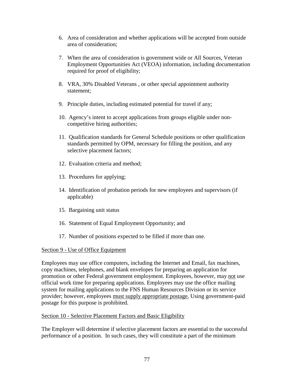- 6. Area of consideration and whether applications will be accepted from outside area of consideration;
- 7. When the area of consideration is government wide or All Sources, Veteran Employment Opportunities Act (VEOA) information, including documentation required for proof of eligibility;
- 8. VRA, 30% Disabled Veterans , or other special appointment authority statement;
- 9. Principle duties, including estimated potential for travel if any;
- 10. Agency's intent to accept applications from groups eligible under noncompetitive hiring authorities;
- 11. Qualification standards for General Schedule positions or other qualification standards permitted by OPM, necessary for filling the position, and any selective placement factors;
- 12. Evaluation criteria and method;
- 13. Procedures for applying;
- 14. Identification of probation periods for new employees and supervisors (if applicable)
- 15. Bargaining unit status
- 16. Statement of Equal Employment Opportunity; and
- 17. Number of positions expected to be filled if more than one.

# Section 9 - Use of Office Equipment

Employees may use office computers, including the Internet and Email, fax machines, copy machines, telephones, and blank envelopes for preparing an application for promotion or other Federal government employment. Employees, however, may not use official work time for preparing applications. Employees may use the office mailing system for mailing applications to the FNS Human Resources Division or its service provider; however, employees must supply appropriate postage. Using government-paid postage for this purpose is prohibited.

# Section 10 - Selective Placement Factors and Basic Eligibility

The Employer will determine if selective placement factors are essential to the successful performance of a position. In such cases, they will constitute a part of the minimum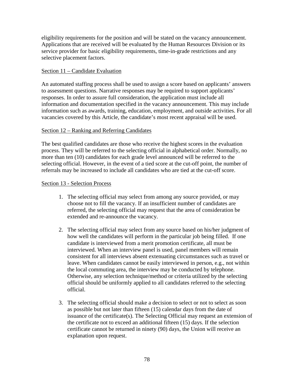eligibility requirements for the position and will be stated on the vacancy announcement. Applications that are received will be evaluated by the Human Resources Division or its service provider for basic eligibility requirements, time-in-grade restrictions and any selective placement factors.

## Section 11 – Candidate Evaluation

An automated staffing process shall be used to assign a score based on applicants' answers to assessment questions. Narrative responses may be required to support applicants' responses. In order to assure full consideration, the application must include all information and documentation specified in the vacancy announcement. This may include information such as awards, training, education, employment, and outside activities. For all vacancies covered by this Article, the candidate's most recent appraisal will be used.

### Section 12 – Ranking and Referring Candidates

The best qualified candidates are those who receive the highest scores in the evaluation process. They will be referred to the selecting official in alphabetical order. Normally, no more than ten (10) candidates for each grade level announced will be referred to the selecting official. However, in the event of a tied score at the cut-off point, the number of referrals may be increased to include all candidates who are tied at the cut-off score.

### Section 13 - Selection Process

- 1. The selecting official may select from among any source provided, or may choose not to fill the vacancy. If an insufficient number of candidates are referred, the selecting official may request that the area of consideration be extended and re-announce the vacancy.
- 2. The selecting official may select from any source based on his/her judgment of how well the candidates will perform in the particular job being filled. If one candidate is interviewed from a merit promotion certificate, all must be interviewed. When an interview panel is used, panel members will remain consistent for all interviews absent extenuating circumstances such as travel or leave. When candidates cannot be easily interviewed in person, e.g., not within the local commuting area, the interview may be conducted by telephone. Otherwise, any selection technique/method or criteria utilized by the selecting official should be uniformly applied to all candidates referred to the selecting official.
- 3. The selecting official should make a decision to select or not to select as soon as possible but not later than fifteen (15) calendar days from the date of issuance of the certificate(s). The Selecting Official may request an extension of the certificate not to exceed an additional fifteen (15) days. If the selection certificate cannot be returned in ninety (90) days, the Union will receive an explanation upon request.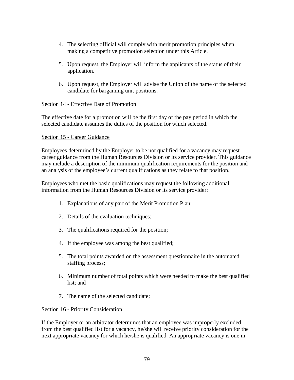- 4. The selecting official will comply with merit promotion principles when making a competitive promotion selection under this Article.
- 5. Upon request, the Employer will inform the applicants of the status of their application.
- 6. Upon request, the Employer will advise the Union of the name of the selected candidate for bargaining unit positions.

# Section 14 - Effective Date of Promotion

The effective date for a promotion will be the first day of the pay period in which the selected candidate assumes the duties of the position for which selected.

# Section 15 - Career Guidance

Employees determined by the Employer to be not qualified for a vacancy may request career guidance from the Human Resources Division or its service provider. This guidance may include a description of the minimum qualification requirements for the position and an analysis of the employee's current qualifications as they relate to that position.

Employees who met the basic qualifications may request the following additional information from the Human Resources Division or its service provider:

- 1. Explanations of any part of the Merit Promotion Plan;
- 2. Details of the evaluation techniques;
- 3. The qualifications required for the position;
- 4. If the employee was among the best qualified;
- 5. The total points awarded on the assessment questionnaire in the automated staffing process;
- 6. Minimum number of total points which were needed to make the best qualified list; and
- 7. The name of the selected candidate;

# Section 16 - Priority Consideration

If the Employer or an arbitrator determines that an employee was improperly excluded from the best qualified list for a vacancy, he/she will receive priority consideration for the next appropriate vacancy for which he/she is qualified. An appropriate vacancy is one in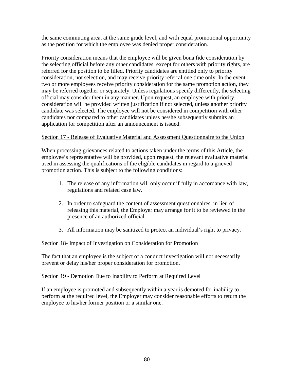the same commuting area, at the same grade level, and with equal promotional opportunity as the position for which the employee was denied proper consideration.

Priority consideration means that the employee will be given bona fide consideration by the selecting official before any other candidates, except for others with priority rights, are referred for the position to be filled. Priority candidates are entitled only to priority consideration, not selection, and may receive priority referral one time only. In the event two or more employees receive priority consideration for the same promotion action, they may be referred together or separately. Unless regulations specify differently, the selecting official may consider them in any manner. Upon request, an employee with priority consideration will be provided written justification if not selected, unless another priority candidate was selected. The employee will not be considered in competition with other candidates nor compared to other candidates unless he/she subsequently submits an application for competition after an announcement is issued.

### Section 17 - Release of Evaluative Material and Assessment Questionnaire to the Union

When processing grievances related to actions taken under the terms of this Article, the employee's representative will be provided, upon request, the relevant evaluative material used in assessing the qualifications of the eligible candidates in regard to a grieved promotion action. This is subject to the following conditions:

- 1. The release of any information will only occur if fully in accordance with law, regulations and related case law.
- 2. In order to safeguard the content of assessment questionnaires, in lieu of releasing this material, the Employer may arrange for it to be reviewed in the presence of an authorized official.
- 3. All information may be sanitized to protect an individual's right to privacy.

# Section 18- Impact of Investigation on Consideration for Promotion

The fact that an employee is the subject of a conduct investigation will not necessarily prevent or delay his/her proper consideration for promotion.

### Section 19 - Demotion Due to Inability to Perform at Required Level

If an employee is promoted and subsequently within a year is demoted for inability to perform at the required level, the Employer may consider reasonable efforts to return the employee to his/her former position or a similar one.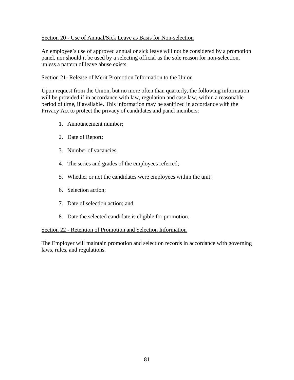### Section 20 - Use of Annual/Sick Leave as Basis for Non-selection

An employee's use of approved annual or sick leave will not be considered by a promotion panel, nor should it be used by a selecting official as the sole reason for non-selection, unless a pattern of leave abuse exists.

### Section 21- Release of Merit Promotion Information to the Union

Upon request from the Union, but no more often than quarterly, the following information will be provided if in accordance with law, regulation and case law, within a reasonable period of time, if available. This information may be sanitized in accordance with the Privacy Act to protect the privacy of candidates and panel members:

- 1. Announcement number;
- 2. Date of Report;
- 3. Number of vacancies;
- 4. The series and grades of the employees referred;
- 5. Whether or not the candidates were employees within the unit;
- 6. Selection action;
- 7. Date of selection action; and
- 8. Date the selected candidate is eligible for promotion.

### Section 22 - Retention of Promotion and Selection Information

The Employer will maintain promotion and selection records in accordance with governing laws, rules, and regulations.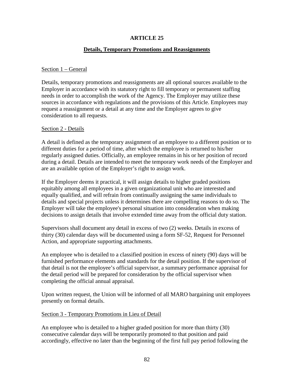### **Details, Temporary Promotions and Reassignments**

#### Section 1 – General

Details, temporary promotions and reassignments are all optional sources available to the Employer in accordance with its statutory right to fill temporary or permanent staffing needs in order to accomplish the work of the Agency. The Employer may utilize these sources in accordance with regulations and the provisions of this Article. Employees may request a reassignment or a detail at any time and the Employer agrees to give consideration to all requests.

#### Section 2 - Details

A detail is defined as the temporary assignment of an employee to a different position or to different duties for a period of time, after which the employee is returned to his/her regularly assigned duties. Officially, an employee remains in his or her position of record during a detail. Details are intended to meet the temporary work needs of the Employer and are an available option of the Employer's right to assign work.

If the Employer deems it practical, it will assign details to higher graded positions equitably among all employees in a given organizational unit who are interested and equally qualified, and will refrain from continually assigning the same individuals to details and special projects unless it determines there are compelling reasons to do so. The Employer will take the employee's personal situation into consideration when making decisions to assign details that involve extended time away from the official duty station.

Supervisors shall document any detail in excess of two (2) weeks. Details in excess of thirty (30) calendar days will be documented using a form SF-52, Request for Personnel Action, and appropriate supporting attachments.

An employee who is detailed to a classified position in excess of ninety (90) days will be furnished performance elements and standards for the detail position. If the supervisor of that detail is not the employee's official supervisor, a summary performance appraisal for the detail period will be prepared for consideration by the official supervisor when completing the official annual appraisal.

Upon written request, the Union will be informed of all MARO bargaining unit employees presently on formal details.

#### Section 3 - Temporary Promotions in Lieu of Detail

An employee who is detailed to a higher graded position for more than thirty (30) consecutive calendar days will be temporarily promoted to that position and paid accordingly, effective no later than the beginning of the first full pay period following the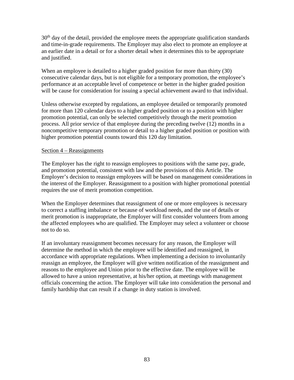30<sup>th</sup> day of the detail, provided the employee meets the appropriate qualification standards and time-in-grade requirements. The Employer may also elect to promote an employee at an earlier date in a detail or for a shorter detail when it determines this to be appropriate and justified.

When an employee is detailed to a higher graded position for more than thirty (30) consecutive calendar days, but is not eligible for a temporary promotion, the employee's performance at an acceptable level of competence or better in the higher graded position will be cause for consideration for issuing a special achievement award to that individual.

Unless otherwise excepted by regulations, an employee detailed or temporarily promoted for more than 120 calendar days to a higher graded position or to a position with higher promotion potential, can only be selected competitively through the merit promotion process. All prior service of that employee during the preceding twelve (12) months in a noncompetitive temporary promotion or detail to a higher graded position or position with higher promotion potential counts toward this 120 day limitation.

### Section 4 – Reassignments

The Employer has the right to reassign employees to positions with the same pay, grade, and promotion potential, consistent with law and the provisions of this Article. The Employer's decision to reassign employees will be based on management considerations in the interest of the Employer. Reassignment to a position with higher promotional potential requires the use of merit promotion competition.

When the Employer determines that reassignment of one or more employees is necessary to correct a staffing imbalance or because of workload needs, and the use of details or merit promotion is inappropriate, the Employer will first consider volunteers from among the affected employees who are qualified. The Employer may select a volunteer or choose not to do so.

If an involuntary reassignment becomes necessary for any reason, the Employer will determine the method in which the employee will be identified and reassigned, in accordance with appropriate regulations. When implementing a decision to involuntarily reassign an employee, the Employer will give written notification of the reassignment and reasons to the employee and Union prior to the effective date. The employee will be allowed to have a union representative, at his/her option, at meetings with management officials concerning the action. The Employer will take into consideration the personal and family hardship that can result if a change in duty station is involved.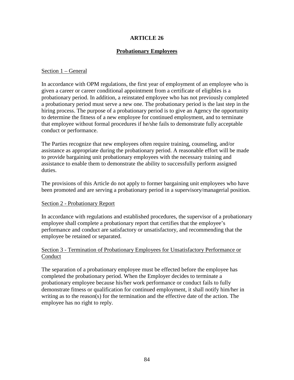### **Probationary Employees**

#### Section 1 – General

In accordance with OPM regulations, the first year of employment of an employee who is given a career or career conditional appointment from a certificate of eligibles is a probationary period. In addition, a reinstated employee who has not previously completed a probationary period must serve a new one. The probationary period is the last step in the hiring process. The purpose of a probationary period is to give an Agency the opportunity to determine the fitness of a new employee for continued employment, and to terminate that employee without formal procedures if he/she fails to demonstrate fully acceptable conduct or performance.

The Parties recognize that new employees often require training, counseling, and/or assistance as appropriate during the probationary period. A reasonable effort will be made to provide bargaining unit probationary employees with the necessary training and assistance to enable them to demonstrate the ability to successfully perform assigned duties.

The provisions of this Article do not apply to former bargaining unit employees who have been promoted and are serving a probationary period in a supervisory/managerial position.

#### Section 2 - Probationary Report

In accordance with regulations and established procedures, the supervisor of a probationary employee shall complete a probationary report that certifies that the employee's performance and conduct are satisfactory or unsatisfactory, and recommending that the employee be retained or separated.

### Section 3 - Termination of Probationary Employees for Unsatisfactory Performance or Conduct

The separation of a probationary employee must be effected before the employee has completed the probationary period. When the Employer decides to terminate a probationary employee because his/her work performance or conduct fails to fully demonstrate fitness or qualification for continued employment, it shall notify him/her in writing as to the reason(s) for the termination and the effective date of the action. The employee has no right to reply.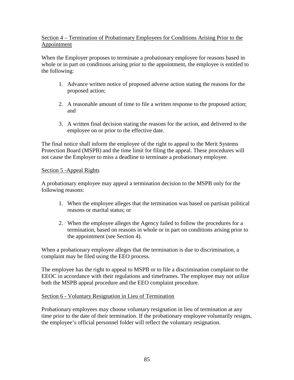# Section 4 – Termination of Probationary Employees for Conditions Arising Prior to the Appointment

When the Employer proposes to terminate a probationary employee for reasons based in whole or in part on conditions arising prior to the appointment, the employee is entitled to the following:

- 1. Advance written notice of proposed adverse action stating the reasons for the proposed action;
- 2. A reasonable amount of time to file a written response to the proposed action; and
- 3. A written final decision stating the reasons for the action, and delivered to the employee on or prior to the effective date.

The final notice shall inform the employee of the right to appeal to the Merit Systems Protection Board (MSPB) and the time limit for filing the appeal. These procedures will not cause the Employer to miss a deadline to terminate a probationary employee.

# Section 5 -Appeal Rights

A probationary employee may appeal a termination decision to the MSPB only for the following reasons:

- 1. When the employee alleges that the termination was based on partisan political reasons or marital status; or
- 2. When the employee alleges the Agency failed to follow the procedures for a termination, based on reasons in whole or in part on conditions arising prior to the appointment (see Section 4).

When a probationary employee alleges that the termination is due to discrimination, a complaint may be filed using the EEO process.

The employee has the right to appeal to MSPB or to file a discrimination complaint to the EEOC in accordance with their regulations and timeframes. The employee may not utilize both the MSPB appeal procedure and the EEO complaint procedure.

# Section 6 - Voluntary Resignation in Lieu of Termination

Probationary employees may choose voluntary resignation in lieu of termination at any time prior to the date of their termination. If the probationary employee voluntarily resigns, the employee's official personnel folder will reflect the voluntary resignation.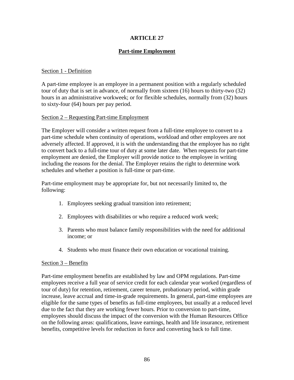# **Part-time Employment**

### Section 1 - Definition

A part-time employee is an employee in a permanent position with a regularly scheduled tour of duty that is set in advance, of normally from sixteen (16) hours to thirty-two (32) hours in an administrative workweek; or for flexible schedules, normally from (32) hours to sixty-four (64) hours per pay period.

### Section 2 – Requesting Part-time Employment

The Employer will consider a written request from a full-time employee to convert to a part-time schedule when continuity of operations, workload and other employees are not adversely affected. If approved, it is with the understanding that the employee has no right to convert back to a full-time tour of duty at some later date. When requests for part-time employment are denied, the Employer will provide notice to the employee in writing including the reasons for the denial. The Employer retains the right to determine work schedules and whether a position is full-time or part-time.

Part-time employment may be appropriate for, but not necessarily limited to, the following:

- 1. Employees seeking gradual transition into retirement;
- 2. Employees with disabilities or who require a reduced work week;
- 3. Parents who must balance family responsibilities with the need for additional income; or
- 4. Students who must finance their own education or vocational training.

### Section 3 – Benefits

Part-time employment benefits are established by law and OPM regulations. Part-time employees receive a full year of service credit for each calendar year worked (regardless of tour of duty) for retention, retirement, career tenure, probationary period, within grade increase, leave accrual and time-in-grade requirements. In general, part-time employees are eligible for the same types of benefits as full-time employees, but usually at a reduced level due to the fact that they are working fewer hours. Prior to conversion to part-time, employees should discuss the impact of the conversion with the Human Resources Office on the following areas: qualifications, leave earnings, health and life insurance, retirement benefits, competitive levels for reduction in force and converting back to full time.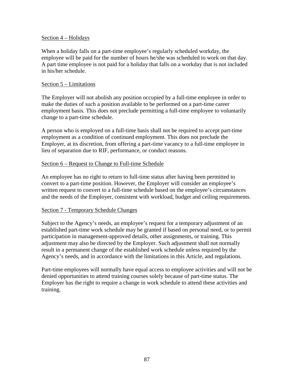### Section  $\frac{4 - \text{Holidays}}{4}$

When a holiday falls on a part-time employee's regularly scheduled workday, the employee will be paid for the number of hours he/she was scheduled to work on that day. A part time employee is not paid for a holiday that falls on a workday that is not included in his/her schedule.

### Section 5 – Limitations

The Employer will not abolish any position occupied by a full-time employee in order to make the duties of such a position available to be performed on a part-time career employment basis. This does not preclude permitting a full-time employee to voluntarily change to a part-time schedule.

A person who is employed on a full-time basis shall not be required to accept part-time employment as a condition of continued employment. This does not preclude the Employer, at its discretion, from offering a part-time vacancy to a full-time employee in lieu of separation due to RIF, performance, or conduct reasons.

### Section 6 – Request to Change to Full-time Schedule

An employee has no right to return to full-time status after having been permitted to convert to a part-time position. However, the Employer will consider an employee's written request to convert to a full-time schedule based on the employee's circumstances and the needs of the Employer, consistent with workload, budget and ceiling requirements.

#### Section 7 - Temporary Schedule Changes

Subject to the Agency's needs, an employee's request for a temporary adjustment of an established part-time work schedule may be granted if based on personal need, or to permit participation in management-approved details, other assignments, or training. This adjustment may also be directed by the Employer. Such adjustment shall not normally result in a permanent change of the established work schedule unless required by the Agency's needs, and in accordance with the limitations in this Article, and regulations.

Part-time employees will normally have equal access to employee activities and will not be denied opportunities to attend training courses solely because of part-time status. The Employer has the right to require a change in work schedule to attend these activities and training.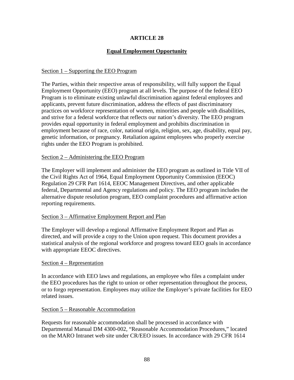# **Equal Employment Opportunity**

### Section 1 – Supporting the EEO Program

The Parties, within their respective areas of responsibility, will fully support the Equal Employment Opportunity (EEO) program at all levels. The purpose of the federal EEO Program is to eliminate existing unlawful discrimination against federal employees and applicants, prevent future discrimination, address the effects of past discriminatory practices on workforce representation of women, minorities and people with disabilities, and strive for a federal workforce that reflects our nation's diversity. The EEO program provides equal opportunity in federal employment and prohibits discrimination in employment because of race, color, national origin, religion, sex, age, disability, equal pay, genetic information, or pregnancy. Retaliation against employees who properly exercise rights under the EEO Program is prohibited.

### Section 2 – Administering the EEO Program

The Employer will implement and administer the EEO program as outlined in Title VII of the Civil Rights Act of 1964, Equal Employment Opportunity Commission (EEOC) Regulation 29 CFR Part 1614, EEOC Management Directives, and other applicable federal, Departmental and Agency regulations and policy. The EEO program includes the alternative dispute resolution program, EEO complaint procedures and affirmative action reporting requirements.

### Section 3 – Affirmative Employment Report and Plan

The Employer will develop a regional Affirmative Employment Report and Plan as directed, and will provide a copy to the Union upon request. This document provides a statistical analysis of the regional workforce and progress toward EEO goals in accordance with appropriate EEOC directives.

### Section 4 – Representation

In accordance with EEO laws and regulations, an employee who files a complaint under the EEO procedures has the right to union or other representation throughout the process, or to forgo representation. Employees may utilize the Employer's private facilities for EEO related issues.

### Section 5 – Reasonable Accommodation

Requests for reasonable accommodation shall be processed in accordance with Departmental Manual DM 4300-002, "Reasonable Accommodation Procedures," located on the MARO Intranet web site under CR/EEO issues. In accordance with 29 CFR 1614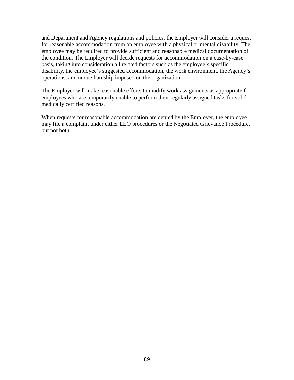and Department and Agency regulations and policies, the Employer will consider a request for reasonable accommodation from an employee with a physical or mental disability. The employee may be required to provide sufficient and reasonable medical documentation of the condition. The Employer will decide requests for accommodation on a case-by-case basis, taking into consideration all related factors such as the employee's specific disability, the employee's suggested accommodation, the work environment, the Agency's operations, and undue hardship imposed on the organization.

The Employer will make reasonable efforts to modify work assignments as appropriate for employees who are temporarily unable to perform their regularly assigned tasks for valid medically certified reasons.

When requests for reasonable accommodation are denied by the Employer, the employee may file a complaint under either EEO procedures or the Negotiated Grievance Procedure, but not both.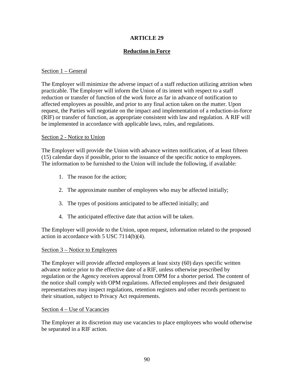# **Reduction in Force**

### Section 1 – General

The Employer will minimize the adverse impact of a staff reduction utilizing attrition when practicable. The Employer will inform the Union of its intent with respect to a staff reduction or transfer of function of the work force as far in advance of notification to affected employees as possible, and prior to any final action taken on the matter. Upon request, the Parties will negotiate on the impact and implementation of a reduction-in-force (RIF) or transfer of function, as appropriate consistent with law and regulation. A RIF will be implemented in accordance with applicable laws, rules, and regulations.

### Section 2 - Notice to Union

The Employer will provide the Union with advance written notification, of at least fifteen (15) calendar days if possible, prior to the issuance of the specific notice to employees. The information to be furnished to the Union will include the following, if available:

- 1. The reason for the action;
- 2. The approximate number of employees who may be affected initially;
- 3. The types of positions anticipated to be affected initially; and
- 4. The anticipated effective date that action will be taken.

The Employer will provide to the Union, upon request, information related to the proposed action in accordance with 5 USC 7114(b)(4).

### Section 3 – Notice to Employees

The Employer will provide affected employees at least sixty (60) days specific written advance notice prior to the effective date of a RIF, unless otherwise prescribed by regulation or the Agency receives approval from OPM for a shorter period. The content of the notice shall comply with OPM regulations. Affected employees and their designated representatives may inspect regulations, retention registers and other records pertinent to their situation, subject to Privacy Act requirements.

### Section 4 – Use of Vacancies

The Employer at its discretion may use vacancies to place employees who would otherwise be separated in a RIF action.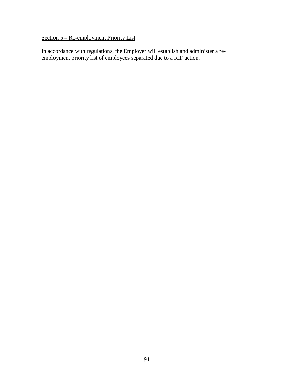# Section 5 – Re-employment Priority List

In accordance with regulations, the Employer will establish and administer a reemployment priority list of employees separated due to a RIF action.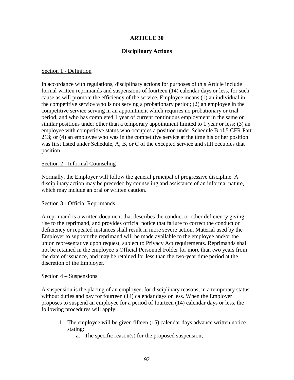# **Disciplinary Actions**

#### Section 1 - Definition

In accordance with regulations, disciplinary actions for purposes of this Article include formal written reprimands and suspensions of fourteen (14) calendar days or less, for such cause as will promote the efficiency of the service. Employee means (1) an individual in the competitive service who is not serving a probationary period; (2) an employee in the competitive service serving in an appointment which requires no probationary or trial period, and who has completed 1 year of current continuous employment in the same or similar positions under other than a temporary appointment limited to 1 year or less; (3) an employee with competitive status who occupies a position under Schedule B of 5 CFR Part 213; or (4) an employee who was in the competitive service at the time his or her position was first listed under Schedule, A, B, or C of the excepted service and still occupies that position.

### Section 2 - Informal Counseling

Normally, the Employer will follow the general principal of progressive discipline. A disciplinary action may be preceded by counseling and assistance of an informal nature, which may include an oral or written caution.

### Section 3 - Official Reprimands

A reprimand is a written document that describes the conduct or other deficiency giving rise to the reprimand, and provides official notice that failure to correct the conduct or deficiency or repeated instances shall result in more severe action. Material used by the Employer to support the reprimand will be made available to the employee and/or the union representative upon request, subject to Privacy Act requirements. Reprimands shall not be retained in the employee's Official Personnel Folder for more than two years from the date of issuance, and may be retained for less than the two-year time period at the discretion of the Employer.

### Section 4 – Suspensions

A suspension is the placing of an employee, for disciplinary reasons, in a temporary status without duties and pay for fourteen (14) calendar days or less. When the Employer proposes to suspend an employee for a period of fourteen (14) calendar days or less, the following procedures will apply:

- 1. The employee will be given fifteen (15) calendar days advance written notice stating:
	- a. The specific reason(s) for the proposed suspension;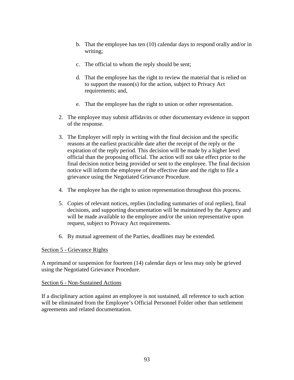- b. That the employee has ten (10) calendar days to respond orally and/or in writing;
- c. The official to whom the reply should be sent;
- d. That the employee has the right to review the material that is relied on to support the reason(s) for the action, subject to Privacy Act requirements; and,
- e. That the employee has the right to union or other representation.
- 2. The employee may submit affidavits or other documentary evidence in support of the response.
- 3. The Employer will reply in writing with the final decision and the specific reasons at the earliest practicable date after the receipt of the reply or the expiration of the reply period. This decision will be made by a higher level official than the proposing official. The action will not take effect prior to the final decision notice being provided or sent to the employee. The final decision notice will inform the employee of the effective date and the right to file a grievance using the Negotiated Grievance Procedure.
- 4. The employee has the right to union representation throughout this process.
- 5. Copies of relevant notices, replies (including summaries of oral replies), final decisions, and supporting documentation will be maintained by the Agency and will be made available to the employee and/or the union representative upon request, subject to Privacy Act requirements.
- 6. By mutual agreement of the Parties, deadlines may be extended.

### Section 5 - Grievance Rights

A reprimand or suspension for fourteen (14) calendar days or less may only be grieved using the Negotiated Grievance Procedure.

### Section 6 - Non-Sustained Actions

If a disciplinary action against an employee is not sustained, all reference to such action will be eliminated from the Employee's Official Personnel Folder other than settlement agreements and related documentation.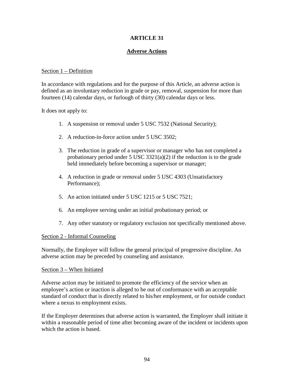# **Adverse Actions**

### Section 1 – Definition

In accordance with regulations and for the purpose of this Article, an adverse action is defined as an involuntary reduction in grade or pay, removal, suspension for more than fourteen (14) calendar days, or furlough of thirty (30) calendar days or less.

It does not apply to:

- 1. A suspension or removal under 5 USC 7532 (National Security);
- 2. A reduction-in-force action under 5 USC 3502;
- 3. The reduction in grade of a supervisor or manager who has not completed a probationary period under 5 USC  $3321(a)(2)$  if the reduction is to the grade held immediately before becoming a supervisor or manager;
- 4. A reduction in grade or removal under 5 USC 4303 (Unsatisfactory Performance);
- 5. An action initiated under 5 USC 1215 or 5 USC 7521;
- 6. An employee serving under an initial probationary period; or
- 7. Any other statutory or regulatory exclusion not specifically mentioned above.

### Section 2 - Informal Counseling

Normally, the Employer will follow the general principal of progressive discipline. An adverse action may be preceded by counseling and assistance.

#### Section 3 – When Initiated

Adverse action may be initiated to promote the efficiency of the service when an employee's action or inaction is alleged to be out of conformance with an acceptable standard of conduct that is directly related to his/her employment, or for outside conduct where a nexus to employment exists.

If the Employer determines that adverse action is warranted, the Employer shall initiate it within a reasonable period of time after becoming aware of the incident or incidents upon which the action is based.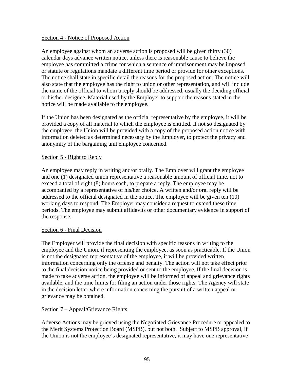#### Section 4 - Notice of Proposed Action

An employee against whom an adverse action is proposed will be given thirty (30) calendar days advance written notice, unless there is reasonable cause to believe the employee has committed a crime for which a sentence of imprisonment may be imposed, or statute or regulations mandate a different time period or provide for other exceptions. The notice shall state in specific detail the reasons for the proposed action. The notice will also state that the employee has the right to union or other representation, and will include the name of the official to whom a reply should be addressed, usually the deciding official or his/her designee. Material used by the Employer to support the reasons stated in the notice will be made available to the employee.

If the Union has been designated as the official representative by the employee, it will be provided a copy of all material to which the employee is entitled. If not so designated by the employee, the Union will be provided with a copy of the proposed action notice with information deleted as determined necessary by the Employer, to protect the privacy and anonymity of the bargaining unit employee concerned.

### Section 5 - Right to Reply

An employee may reply in writing and/or orally. The Employer will grant the employee and one (1) designated union representative a reasonable amount of official time, not to exceed a total of eight (8) hours each, to prepare a reply. The employee may be accompanied by a representative of his/her choice. A written and/or oral reply will be addressed to the official designated in the notice. The employee will be given ten (10) working days to respond. The Employer may consider a request to extend these time periods. The employee may submit affidavits or other documentary evidence in support of the response.

### Section 6 - Final Decision

The Employer will provide the final decision with specific reasons in writing to the employee and the Union, if representing the employee, as soon as practicable. If the Union is not the designated representative of the employee, it will be provided written information concerning only the offense and penalty. The action will not take effect prior to the final decision notice being provided or sent to the employee. If the final decision is made to take adverse action, the employee will be informed of appeal and grievance rights available, and the time limits for filing an action under those rights. The Agency will state in the decision letter where information concerning the pursuit of a written appeal or grievance may be obtained.

### Section 7 – Appeal/Grievance Rights

Adverse Actions may be grieved using the Negotiated Grievance Procedure or appealed to the Merit Systems Protection Board (MSPB), but not both. Subject to MSPB approval, if the Union is not the employee's designated representative, it may have one representative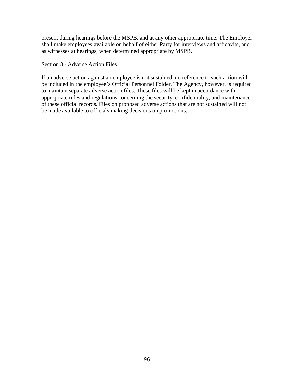present during hearings before the MSPB, and at any other appropriate time. The Employer shall make employees available on behalf of either Party for interviews and affidavits, and as witnesses at hearings, when determined appropriate by MSPB.

### Section 8 - Adverse Action Files

If an adverse action against an employee is not sustained, no reference to such action will be included in the employee's Official Personnel Folder. The Agency, however, is required to maintain separate adverse action files. These files will be kept in accordance with appropriate rules and regulations concerning the security, confidentiality, and maintenance of these official records. Files on proposed adverse actions that are not sustained will not be made available to officials making decisions on promotions.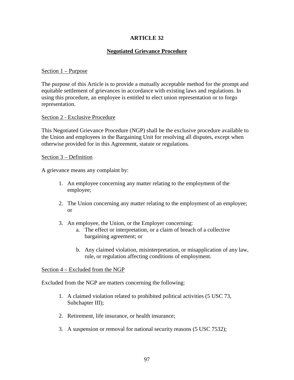# **Negotiated Grievance Procedure**

### Section 1 – Purpose

The purpose of this Article is to provide a mutually acceptable method for the prompt and equitable settlement of grievances in accordance with existing laws and regulations. In using this procedure, an employee is entitled to elect union representation or to forgo representation.

### Section 2 - Exclusive Procedure

This Negotiated Grievance Procedure (NGP) shall be the exclusive procedure available to the Union and employees in the Bargaining Unit for resolving all disputes, except when otherwise provided for in this Agreement, statute or regulations.

### Section 3 – Definition

A grievance means any complaint by:

- 1. An employee concerning any matter relating to the employment of the employee;
- 2. The Union concerning any matter relating to the employment of an employee; or
- 3. An employee, the Union, or the Employer concerning:
	- a. The effect or interpretation, or a claim of breach of a collective bargaining agreement; or
	- b. Any claimed violation, misinterpretation, or misapplication of any law, rule, or regulation affecting conditions of employment.

### Section 4 – Excluded from the NGP

Excluded from the NGP are matters concerning the following:

- 1. A claimed violation related to prohibited political activities (5 USC 73, Subchapter III);
- 2. Retirement, life insurance, or health insurance;
- 3. A suspension or removal for national security reasons (5 USC 7532);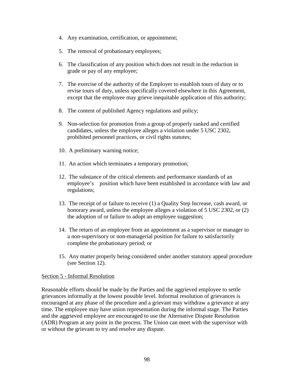- 4. Any examination, certification, or appointment;
- 5. The removal of probationary employees;
- 6. The classification of any position which does not result in the reduction in grade or pay of any employee;
- 7. The exercise of the authority of the Employer to establish tours of duty or to revise tours of duty, unless specifically covered elsewhere in this Agreement, except that the employee may grieve inequitable application of this authority;
- 8. The content of published Agency regulations and policy;
- 9. Non-selection for promotion from a group of properly ranked and certified candidates, unless the employee alleges a violation under 5 USC 2302, prohibited personnel practices, or civil rights statutes;
- 10. A preliminary warning notice;
- 11. An action which terminates a temporary promotion;
- 12. The substance of the critical elements and performance standards of an employee's position which have been established in accordance with law and regulations;
- 13. The receipt of or failure to receive (1) a Quality Step Increase, cash award, or honorary award, unless the employee alleges a violation of 5 USC 2302, or (2) the adoption of or failure to adopt an employee suggestion;
- 14. The return of an employee from an appointment as a supervisor or manager to a non-supervisory or non-managerial position for failure to satisfactorily complete the probationary period; or
- 15. Any matter properly being considered under another statutory appeal procedure (see Section 12).

#### Section 5 - Informal Resolution

Reasonable efforts should be made by the Parties and the aggrieved employee to settle grievances informally at the lowest possible level. Informal resolution of grievances is encouraged at any phase of the procedure and a grievant may withdraw a grievance at any time. The employee may have union representation during the informal stage. The Parties and the aggrieved employee are encouraged to use the Alternative Dispute Resolution (ADR) Program at any point in the process. The Union can meet with the supervisor with or without the grievant to try and resolve any dispute.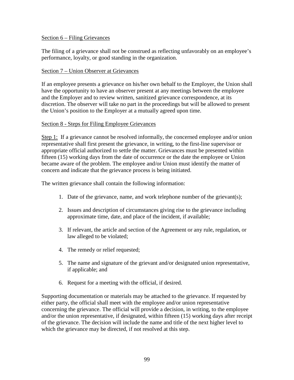#### Section 6 – Filing Grievances

The filing of a grievance shall not be construed as reflecting unfavorably on an employee's performance, loyalty, or good standing in the organization.

### Section 7 – Union Observer at Grievances

If an employee presents a grievance on his/her own behalf to the Employer, the Union shall have the opportunity to have an observer present at any meetings between the employee and the Employer and to review written, sanitized grievance correspondence, at its discretion. The observer will take no part in the proceedings but will be allowed to present the Union's position to the Employer at a mutually agreed upon time.

### Section 8 - Steps for Filing Employee Grievances

Step 1: If a grievance cannot be resolved informally, the concerned employee and/or union representative shall first present the grievance, in writing, to the first-line supervisor or appropriate official authorized to settle the matter. Grievances must be presented within fifteen (15) working days from the date of occurrence or the date the employee or Union became aware of the problem. The employee and/or Union must identify the matter of concern and indicate that the grievance process is being initiated.

The written grievance shall contain the following information:

- 1. Date of the grievance, name, and work telephone number of the grievant(s);
- 2. Issues and description of circumstances giving rise to the grievance including approximate time, date, and place of the incident, if available;
- 3. If relevant, the article and section of the Agreement or any rule, regulation, or law alleged to be violated;
- 4. The remedy or relief requested;
- 5. The name and signature of the grievant and/or designated union representative, if applicable; and
- 6. Request for a meeting with the official, if desired.

Supporting documentation or materials may be attached to the grievance. If requested by either party, the official shall meet with the employee and/or union representative concerning the grievance. The official will provide a decision, in writing, to the employee and/or the union representative, if designated, within fifteen (15) working days after receipt of the grievance. The decision will include the name and title of the next higher level to which the grievance may be directed, if not resolved at this step.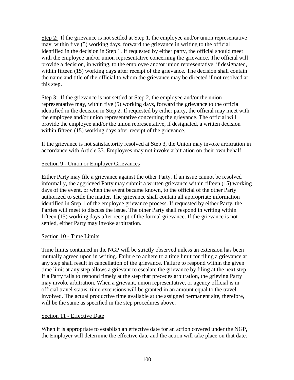Step 2: If the grievance is not settled at Step 1, the employee and/or union representative may, within five (5) working days, forward the grievance in writing to the official identified in the decision in Step 1. If requested by either party, the official should meet with the employee and/or union representative concerning the grievance. The official will provide a decision, in writing, to the employee and/or union representative, if designated, within fifteen (15) working days after receipt of the grievance. The decision shall contain the name and title of the official to whom the grievance may be directed if not resolved at this step.

Step 3: If the grievance is not settled at Step 2, the employee and/or the union representative may, within five (5) working days, forward the grievance to the official identified in the decision in Step 2. If requested by either party, the official may meet with the employee and/or union representative concerning the grievance. The official will provide the employee and/or the union representative, if designated, a written decision within fifteen (15) working days after receipt of the grievance.

If the grievance is not satisfactorily resolved at Step 3, the Union may invoke arbitration in accordance with Article 33. Employees may not invoke arbitration on their own behalf.

# Section 9 - Union or Employer Grievances

Either Party may file a grievance against the other Party. If an issue cannot be resolved informally, the aggrieved Party may submit a written grievance within fifteen (15) working days of the event, or when the event became known, to the official of the other Party authorized to settle the matter. The grievance shall contain all appropriate information identified in Step 1 of the employee grievance process. If requested by either Party, the Parties will meet to discuss the issue. The other Party shall respond in writing within fifteen (15) working days after receipt of the formal grievance. If the grievance is not settled, either Party may invoke arbitration.

### Section 10 - Time Limits

Time limits contained in the NGP will be strictly observed unless an extension has been mutually agreed upon in writing. Failure to adhere to a time limit for filing a grievance at any step shall result in cancellation of the grievance. Failure to respond within the given time limit at any step allows a grievant to escalate the grievance by filing at the next step. If a Party fails to respond timely at the step that precedes arbitration, the grieving Party may invoke arbitration. When a grievant, union representative, or agency official is in official travel status, time extensions will be granted in an amount equal to the travel involved. The actual productive time available at the assigned permanent site, therefore, will be the same as specified in the step procedures above.

### Section 11 - Effective Date

When it is appropriate to establish an effective date for an action covered under the NGP, the Employer will determine the effective date and the action will take place on that date.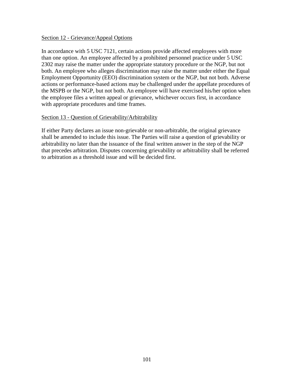#### Section 12 - Grievance/Appeal Options

In accordance with 5 USC 7121, certain actions provide affected employees with more than one option. An employee affected by a prohibited personnel practice under 5 USC 2302 may raise the matter under the appropriate statutory procedure or the NGP, but not both. An employee who alleges discrimination may raise the matter under either the Equal Employment Opportunity (EEO) discrimination system or the NGP, but not both. Adverse actions or performance-based actions may be challenged under the appellate procedures of the MSPB or the NGP, but not both. An employee will have exercised his/her option when the employee files a written appeal or grievance, whichever occurs first, in accordance with appropriate procedures and time frames.

### Section 13 - Question of Grievability/Arbitrability

If either Party declares an issue non-grievable or non-arbitrable, the original grievance shall be amended to include this issue. The Parties will raise a question of grievability or arbitrability no later than the issuance of the final written answer in the step of the NGP that precedes arbitration. Disputes concerning grievability or arbitrability shall be referred to arbitration as a threshold issue and will be decided first.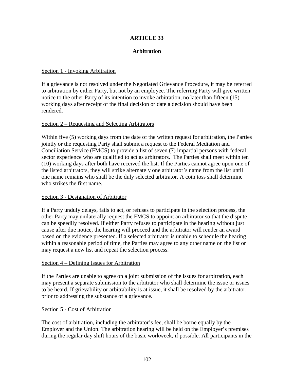# **Arbitration**

### Section 1 - Invoking Arbitration

If a grievance is not resolved under the Negotiated Grievance Procedure, it may be referred to arbitration by either Party, but not by an employee. The referring Party will give written notice to the other Party of its intention to invoke arbitration, no later than fifteen (15) working days after receipt of the final decision or date a decision should have been rendered.

### Section 2 – Requesting and Selecting Arbitrators

Within five (5) working days from the date of the written request for arbitration, the Parties jointly or the requesting Party shall submit a request to the Federal Mediation and Conciliation Service (FMCS) to provide a list of seven (7) impartial persons with federal sector experience who are qualified to act as arbitrators. The Parties shall meet within ten (10) working days after both have received the list. If the Parties cannot agree upon one of the listed arbitrators, they will strike alternately one arbitrator's name from the list until one name remains who shall be the duly selected arbitrator. A coin toss shall determine who strikes the first name.

### Section 3 - Designation of Arbitrator

If a Party unduly delays, fails to act, or refuses to participate in the selection process, the other Party may unilaterally request the FMCS to appoint an arbitrator so that the dispute can be speedily resolved. If either Party refuses to participate in the hearing without just cause after due notice, the hearing will proceed and the arbitrator will render an award based on the evidence presented. If a selected arbitrator is unable to schedule the hearing within a reasonable period of time, the Parties may agree to any other name on the list or may request a new list and repeat the selection process.

### Section 4 – Defining Issues for Arbitration

If the Parties are unable to agree on a joint submission of the issues for arbitration, each may present a separate submission to the arbitrator who shall determine the issue or issues to be heard. If grievability or arbitrability is at issue, it shall be resolved by the arbitrator, prior to addressing the substance of a grievance.

### Section 5 - Cost of Arbitration

The cost of arbitration, including the arbitrator's fee, shall be borne equally by the Employer and the Union. The arbitration hearing will be held on the Employer's premises during the regular day shift hours of the basic workweek, if possible. All participants in the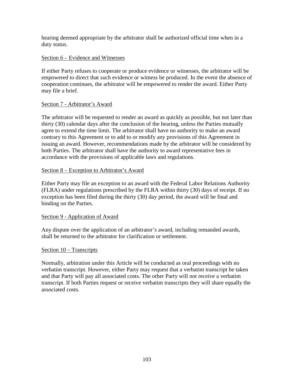hearing deemed appropriate by the arbitrator shall be authorized official time when in a duty status.

### Section 6 – Evidence and Witnesses

If either Party refuses to cooperate or produce evidence or witnesses, the arbitrator will be empowered to direct that such evidence or witness be produced. In the event the absence of cooperation continues, the arbitrator will be empowered to render the award. Either Party may file a brief.

### Section 7 - Arbitrator's Award

The arbitrator will be requested to render an award as quickly as possible, but not later than thirty (30) calendar days after the conclusion of the hearing, unless the Parties mutually agree to extend the time limit. The arbitrator shall have no authority to make an award contrary to this Agreement or to add to or modify any provisions of this Agreement in issuing an award. However, recommendations made by the arbitrator will be considered by both Parties. The arbitrator shall have the authority to award representative fees in accordance with the provisions of applicable laws and regulations.

### Section 8 – Exception to Arbitrator's Award

Either Party may file an exception to an award with the Federal Labor Relations Authority (FLRA) under regulations prescribed by the FLRA within thirty (30) days of receipt. If no exception has been filed during the thirty (30) day period, the award will be final and binding on the Parties.

### Section 9 - Application of Award

Any dispute over the application of an arbitrator's award, including remanded awards, shall be returned to the arbitrator for clarification or settlement.

### Section 10 – Transcripts

Normally, arbitration under this Article will be conducted as oral proceedings with no verbatim transcript. However, either Party may request that a verbatim transcript be taken and that Party will pay all associated costs. The other Party will not receive a verbatim transcript. If both Parties request or receive verbatim transcripts they will share equally the associated costs.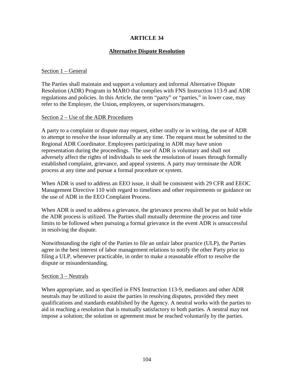# **Alternative Dispute Resolution**

### Section 1 – General

The Parties shall maintain and support a voluntary and informal Alternative Dispute Resolution (ADR) Program in MARO that complies with FNS Instruction 113-9 and ADR regulations and policies. In this Article, the term "party" or "parties," in lower case, may refer to the Employer, the Union, employees, or supervisors/managers.

### Section 2 – Use of the ADR Procedures

A party to a complaint or dispute may request, either orally or in writing, the use of ADR to attempt to resolve the issue informally at any time. The request must be submitted to the Regional ADR Coordinator. Employees participating in ADR may have union representation during the proceedings. The use of ADR is voluntary and shall not adversely affect the rights of individuals to seek the resolution of issues through formally established complaint, grievance, and appeal systems. A party may terminate the ADR process at any time and pursue a formal procedure or system.

When ADR is used to address an EEO issue, it shall be consistent with 29 CFR and EEOC Management Directive 110 with regard to timelines and other requirements or guidance on the use of ADR in the EEO Complaint Process.

When ADR is used to address a grievance, the grievance process shall be put on hold while the ADR process is utilized. The Parties shall mutually determine the process and time limits to be followed when pursuing a formal grievance in the event ADR is unsuccessful in resolving the dispute.

Notwithstanding the right of the Parties to file an unfair labor practice (ULP), the Parties agree in the best interest of labor management relations to notify the other Party prior to filing a ULP, whenever practicable, in order to make a reasonable effort to resolve the dispute or misunderstanding.

### Section 3 – Neutrals

When appropriate, and as specified in FNS Instruction 113-9, mediators and other ADR neutrals may be utilized to assist the parties in resolving disputes, provided they meet qualifications and standards established by the Agency. A neutral works with the parties to aid in reaching a resolution that is mutually satisfactory to both parties. A neutral may not impose a solution; the solution or agreement must be reached voluntarily by the parties.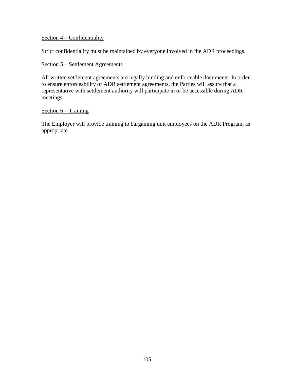### Section 4 – Confidentiality

Strict confidentiality must be maintained by everyone involved in the ADR proceedings.

### Section 5 – Settlement Agreements

All written settlement agreements are legally binding and enforceable documents. In order to ensure enforceability of ADR settlement agreements, the Parties will assure that a representative with settlement authority will participate in or be accessible during ADR meetings.

#### Section 6 – Training

The Employer will provide training to bargaining unit employees on the ADR Program, as appropriate.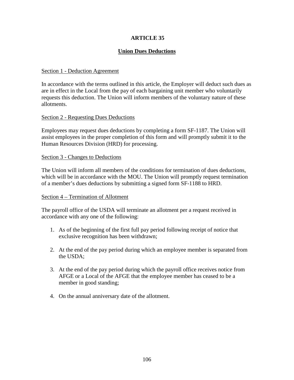# **ARTICLE 35**

# **Union Dues Deductions**

### Section 1 - Deduction Agreement

In accordance with the terms outlined in this article, the Employer will deduct such dues as are in effect in the Local from the pay of each bargaining unit member who voluntarily requests this deduction. The Union will inform members of the voluntary nature of these allotments.

### Section 2 - Requesting Dues Deductions

Employees may request dues deductions by completing a form SF-1187. The Union will assist employees in the proper completion of this form and will promptly submit it to the Human Resources Division (HRD) for processing.

### Section 3 - Changes to Deductions

The Union will inform all members of the conditions for termination of dues deductions, which will be in accordance with the MOU. The Union will promptly request termination of a member's dues deductions by submitting a signed form SF-1188 to HRD.

### Section 4 – Termination of Allotment

The payroll office of the USDA will terminate an allotment per a request received in accordance with any one of the following:

- 1. As of the beginning of the first full pay period following receipt of notice that exclusive recognition has been withdrawn;
- 2. At the end of the pay period during which an employee member is separated from the USDA;
- 3. At the end of the pay period during which the payroll office receives notice from AFGE or a Local of the AFGE that the employee member has ceased to be a member in good standing;
- 4. On the annual anniversary date of the allotment.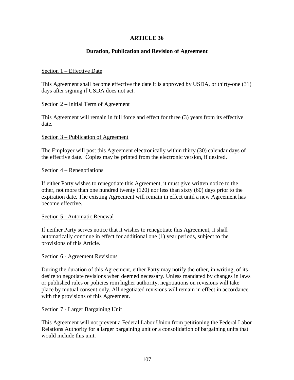## **ARTICLE 36**

## **Duration, Publication and Revision of Agreement**

## Section 1 – Effective Date

This Agreement shall become effective the date it is approved by USDA, or thirty-one (31) days after signing if USDA does not act.

## Section 2 – Initial Term of Agreement

This Agreement will remain in full force and effect for three (3) years from its effective date.

## Section 3 – Publication of Agreement

The Employer will post this Agreement electronically within thirty (30) calendar days of the effective date. Copies may be printed from the electronic version, if desired.

## Section 4 – Renegotiations

If either Party wishes to renegotiate this Agreement, it must give written notice to the other, not more than one hundred twenty (120) nor less than sixty (60) days prior to the expiration date. The existing Agreement will remain in effect until a new Agreement has become effective.

### Section 5 - Automatic Renewal

If neither Party serves notice that it wishes to renegotiate this Agreement, it shall automatically continue in effect for additional one (1) year periods, subject to the provisions of this Article.

### Section 6 - Agreement Revisions

During the duration of this Agreement, either Party may notify the other, in writing, of its desire to negotiate revisions when deemed necessary. Unless mandated by changes in laws or published rules or policies rom higher authority, negotiations on revisions will take place by mutual consent only. All negotiated revisions will remain in effect in accordance with the provisions of this Agreement.

### Section 7 - Larger Bargaining Unit

This Agreement will not prevent a Federal Labor Union from petitioning the Federal Labor Relations Authority for a larger bargaining unit or a consolidation of bargaining units that would include this unit.